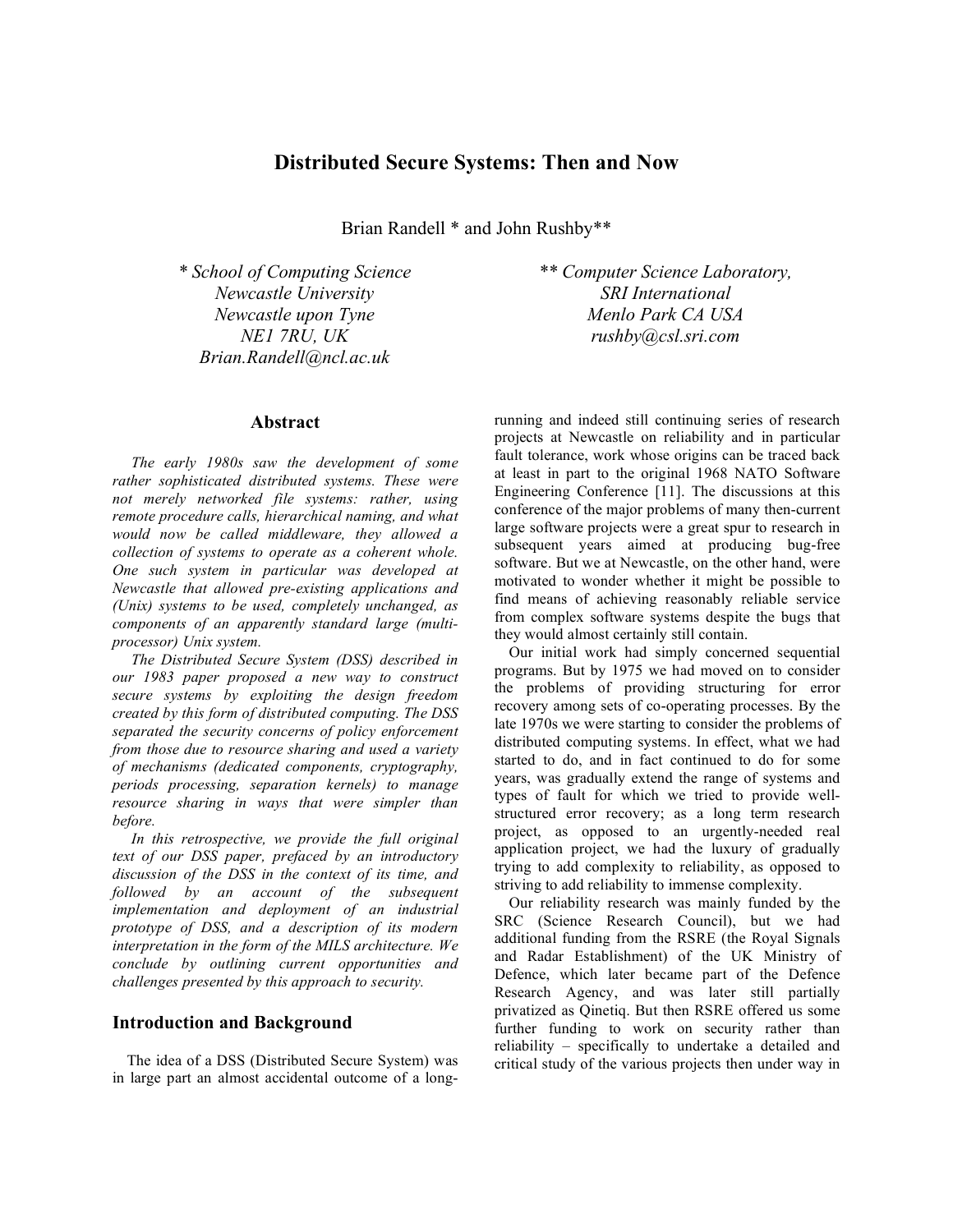# **Distributed Secure Systems: Then and Now**

Brian Randell \* and John Rushby\*\*

*\* School of Computing Science Newcastle University Newcastle upon Tyne NE1 7RU, UK Brian.Randell@ncl.ac.uk*

#### **Abstract**

*The early 1980s saw the development of some rather sophisticated distributed systems. These were not merely networked file systems: rather, using remote procedure calls, hierarchical naming, and what would now be called middleware, they allowed a collection of systems to operate as a coherent whole. One such system in particular was developed at Newcastle that allowed pre-existing applications and (Unix) systems to be used, completely unchanged, as components of an apparently standard large (multiprocessor) Unix system.*

*The Distributed Secure System (DSS) described in our 1983 paper proposed a new way to construct secure systems by exploiting the design freedom created by this form of distributed computing. The DSS separated the security concerns of policy enforcement from those due to resource sharing and used a variety of mechanisms (dedicated components, cryptography, periods processing, separation kernels) to manage resource sharing in ways that were simpler than before.*

*In this retrospective, we provide the full original text of our DSS paper, prefaced by an introductory discussion of the DSS in the context of its time, and followed by an account of the subsequent implementation and deployment of an industrial prototype of DSS, and a description of its modern interpretation in the form of the MILS architecture. We conclude by outlining current opportunities and challenges presented by this approach to security.*

#### **Introduction and Background**

The idea of a DSS (Distributed Secure System) was in large part an almost accidental outcome of a long*\*\* Computer Science Laboratory, SRI International Menlo Park CA USA rushby@csl.sri.com*

running and indeed still continuing series of research projects at Newcastle on reliability and in particular fault tolerance, work whose origins can be traced back at least in part to the original 1968 NATO Software Engineering Conference [11]. The discussions at this conference of the major problems of many then-current large software projects were a great spur to research in subsequent years aimed at producing bug-free software. But we at Newcastle, on the other hand, were motivated to wonder whether it might be possible to find means of achieving reasonably reliable service from complex software systems despite the bugs that they would almost certainly still contain.

Our initial work had simply concerned sequential programs. But by 1975 we had moved on to consider the problems of providing structuring for error recovery among sets of co-operating processes. By the late 1970s we were starting to consider the problems of distributed computing systems. In effect, what we had started to do, and in fact continued to do for some years, was gradually extend the range of systems and types of fault for which we tried to provide wellstructured error recovery; as a long term research project, as opposed to an urgently-needed real application project, we had the luxury of gradually trying to add complexity to reliability, as opposed to striving to add reliability to immense complexity.

Our reliability research was mainly funded by the SRC (Science Research Council), but we had additional funding from the RSRE (the Royal Signals and Radar Establishment) of the UK Ministry of Defence, which later became part of the Defence Research Agency, and was later still partially privatized as Qinetiq. But then RSRE offered us some further funding to work on security rather than reliability – specifically to undertake a detailed and critical study of the various projects then under way in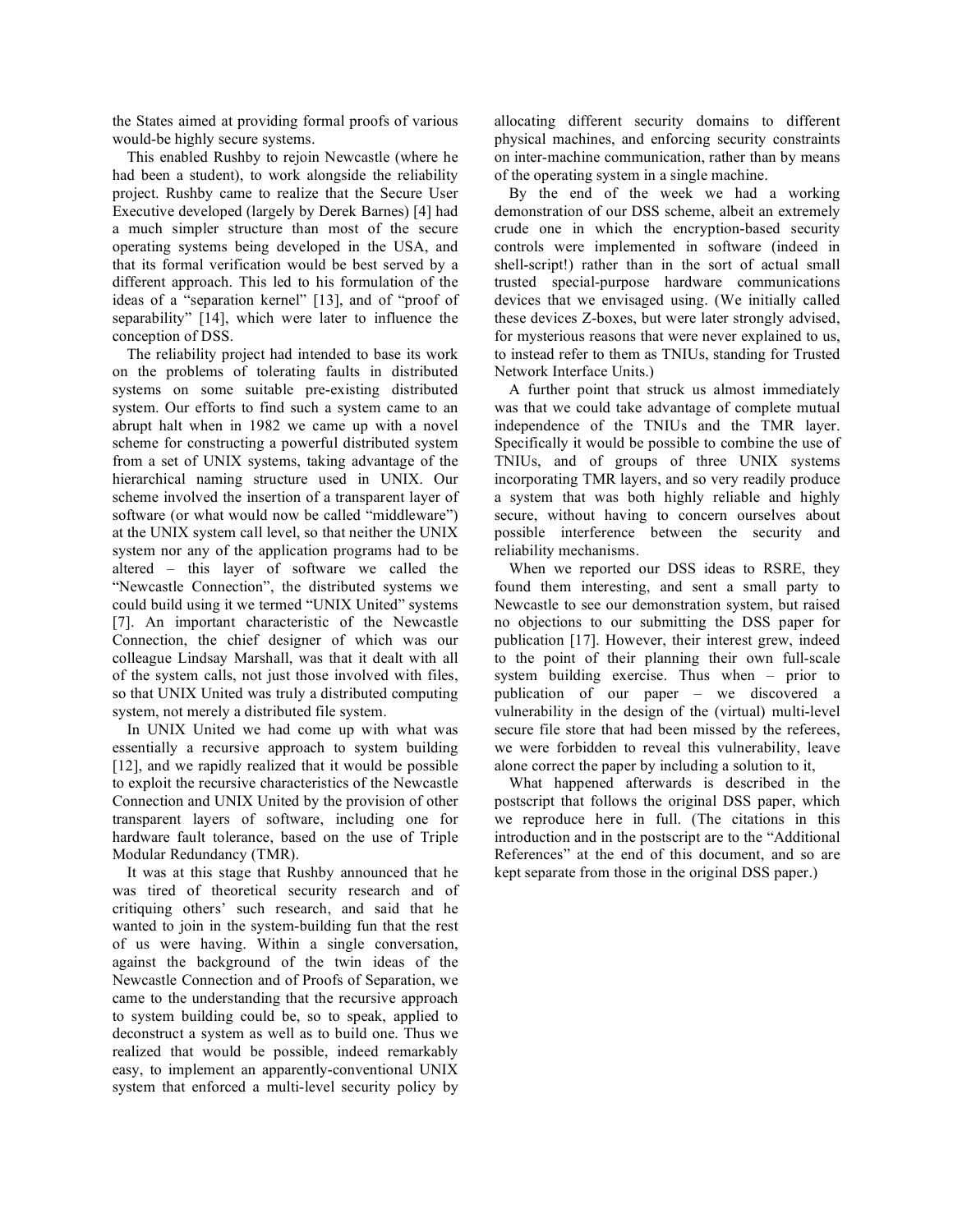the States aimed at providing formal proofs of various would-be highly secure systems.

This enabled Rushby to rejoin Newcastle (where he had been a student), to work alongside the reliability project. Rushby came to realize that the Secure User Executive developed (largely by Derek Barnes) [4] had a much simpler structure than most of the secure operating systems being developed in the USA, and that its formal verification would be best served by a different approach. This led to his formulation of the ideas of a "separation kernel" [13], and of "proof of separability" [14], which were later to influence the conception of DSS.

The reliability project had intended to base its work on the problems of tolerating faults in distributed systems on some suitable pre-existing distributed system. Our efforts to find such a system came to an abrupt halt when in 1982 we came up with a novel scheme for constructing a powerful distributed system from a set of UNIX systems, taking advantage of the hierarchical naming structure used in UNIX. Our scheme involved the insertion of a transparent layer of software (or what would now be called "middleware") at the UNIX system call level, so that neither the UNIX system nor any of the application programs had to be altered – this layer of software we called the "Newcastle Connection", the distributed systems we could build using it we termed "UNIX United" systems [7]. An important characteristic of the Newcastle Connection, the chief designer of which was our colleague Lindsay Marshall, was that it dealt with all of the system calls, not just those involved with files, so that UNIX United was truly a distributed computing system, not merely a distributed file system.

In UNIX United we had come up with what was essentially a recursive approach to system building [12], and we rapidly realized that it would be possible to exploit the recursive characteristics of the Newcastle Connection and UNIX United by the provision of other transparent layers of software, including one for hardware fault tolerance, based on the use of Triple Modular Redundancy (TMR).

It was at this stage that Rushby announced that he was tired of theoretical security research and of critiquing others' such research, and said that he wanted to join in the system-building fun that the rest of us were having. Within a single conversation, against the background of the twin ideas of the Newcastle Connection and of Proofs of Separation, we came to the understanding that the recursive approach to system building could be, so to speak, applied to deconstruct a system as well as to build one. Thus we realized that would be possible, indeed remarkably easy, to implement an apparently-conventional UNIX system that enforced a multi-level security policy by

allocating different security domains to different physical machines, and enforcing security constraints on inter-machine communication, rather than by means of the operating system in a single machine.

By the end of the week we had a working demonstration of our DSS scheme, albeit an extremely crude one in which the encryption-based security controls were implemented in software (indeed in shell-script!) rather than in the sort of actual small trusted special-purpose hardware communications devices that we envisaged using. (We initially called these devices Z-boxes, but were later strongly advised, for mysterious reasons that were never explained to us, to instead refer to them as TNIUs, standing for Trusted Network Interface Units.)

A further point that struck us almost immediately was that we could take advantage of complete mutual independence of the TNIUs and the TMR layer. Specifically it would be possible to combine the use of TNIUs, and of groups of three UNIX systems incorporating TMR layers, and so very readily produce a system that was both highly reliable and highly secure, without having to concern ourselves about possible interference between the security and reliability mechanisms.

When we reported our DSS ideas to RSRE, they found them interesting, and sent a small party to Newcastle to see our demonstration system, but raised no objections to our submitting the DSS paper for publication [17]. However, their interest grew, indeed to the point of their planning their own full-scale system building exercise. Thus when – prior to publication of our paper – we discovered a vulnerability in the design of the (virtual) multi-level secure file store that had been missed by the referees, we were forbidden to reveal this vulnerability, leave alone correct the paper by including a solution to it,

What happened afterwards is described in the postscript that follows the original DSS paper, which we reproduce here in full. (The citations in this introduction and in the postscript are to the "Additional References" at the end of this document, and so are kept separate from those in the original DSS paper.)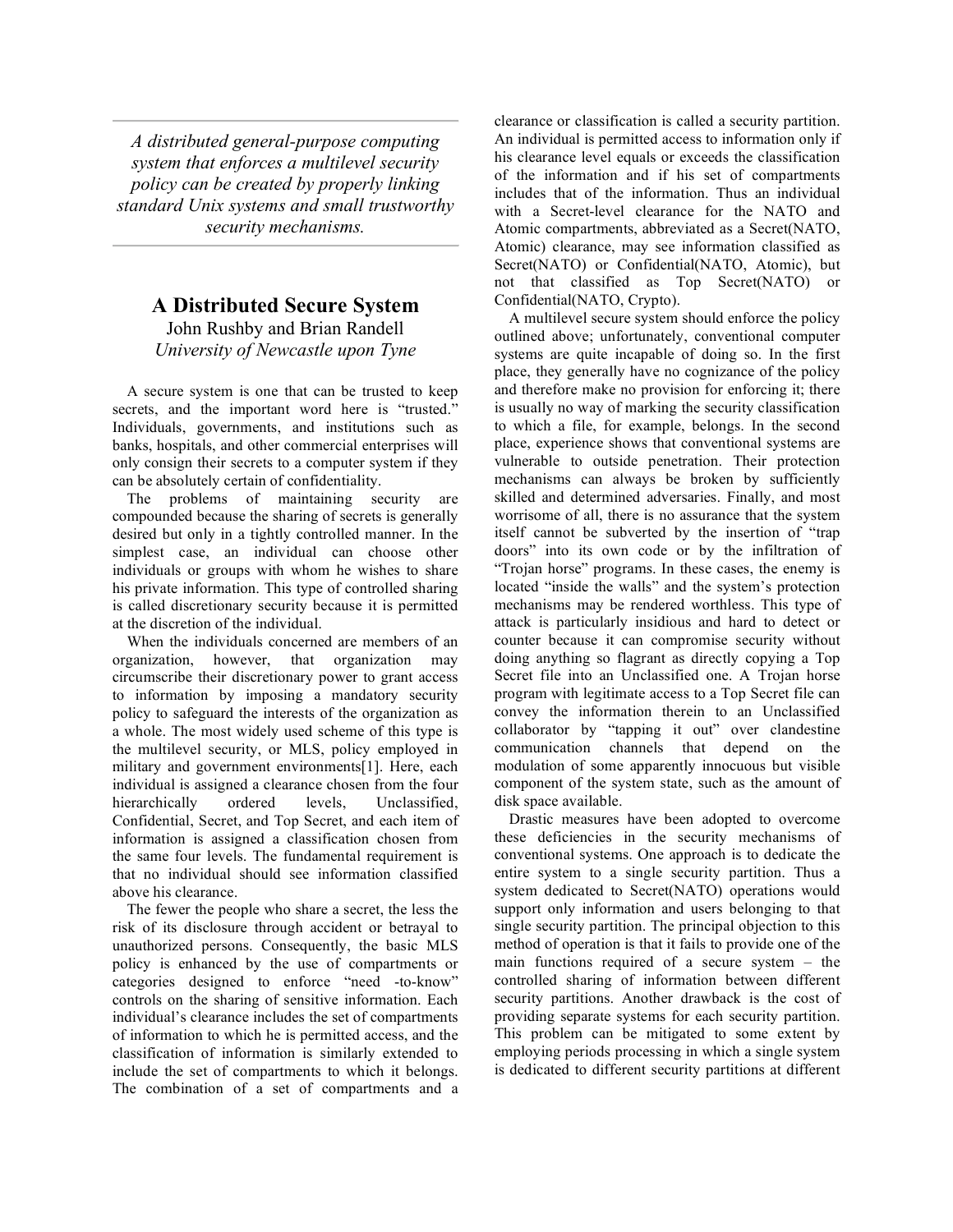*A distributed general-purpose computing system that enforces a multilevel security policy can be created by properly linking standard Unix systems and small trustworthy security mechanisms.*

# **A Distributed Secure System**

John Rushby and Brian Randell *University of Newcastle upon Tyne*

A secure system is one that can be trusted to keep secrets, and the important word here is "trusted." Individuals, governments, and institutions such as banks, hospitals, and other commercial enterprises will only consign their secrets to a computer system if they can be absolutely certain of confidentiality.

The problems of maintaining security are compounded because the sharing of secrets is generally desired but only in a tightly controlled manner. In the simplest case, an individual can choose other individuals or groups with whom he wishes to share his private information. This type of controlled sharing is called discretionary security because it is permitted at the discretion of the individual.

When the individuals concerned are members of an organization, however, that organization may circumscribe their discretionary power to grant access to information by imposing a mandatory security policy to safeguard the interests of the organization as a whole. The most widely used scheme of this type is the multilevel security, or MLS, policy employed in military and government environments[1]. Here, each individual is assigned a clearance chosen from the four hierarchically ordered levels, Unclassified, Confidential, Secret, and Top Secret, and each item of information is assigned a classification chosen from the same four levels. The fundamental requirement is that no individual should see information classified above his clearance.

The fewer the people who share a secret, the less the risk of its disclosure through accident or betrayal to unauthorized persons. Consequently, the basic MLS policy is enhanced by the use of compartments or categories designed to enforce "need -to-know" controls on the sharing of sensitive information. Each individual's clearance includes the set of compartments of information to which he is permitted access, and the classification of information is similarly extended to include the set of compartments to which it belongs. The combination of a set of compartments and a clearance or classification is called a security partition. An individual is permitted access to information only if his clearance level equals or exceeds the classification of the information and if his set of compartments includes that of the information. Thus an individual with a Secret-level clearance for the NATO and Atomic compartments, abbreviated as a Secret(NATO, Atomic) clearance, may see information classified as Secret(NATO) or Confidential(NATO, Atomic), but not that classified as Top Secret(NATO) or Confidential(NATO, Crypto).

A multilevel secure system should enforce the policy outlined above; unfortunately, conventional computer systems are quite incapable of doing so. In the first place, they generally have no cognizance of the policy and therefore make no provision for enforcing it; there is usually no way of marking the security classification to which a file, for example, belongs. In the second place, experience shows that conventional systems are vulnerable to outside penetration. Their protection mechanisms can always be broken by sufficiently skilled and determined adversaries. Finally, and most worrisome of all, there is no assurance that the system itself cannot be subverted by the insertion of "trap doors" into its own code or by the infiltration of "Trojan horse" programs. In these cases, the enemy is located "inside the walls" and the system's protection mechanisms may be rendered worthless. This type of attack is particularly insidious and hard to detect or counter because it can compromise security without doing anything so flagrant as directly copying a Top Secret file into an Unclassified one. A Trojan horse program with legitimate access to a Top Secret file can convey the information therein to an Unclassified collaborator by "tapping it out" over clandestine communication channels that depend on the modulation of some apparently innocuous but visible component of the system state, such as the amount of disk space available.

Drastic measures have been adopted to overcome these deficiencies in the security mechanisms of conventional systems. One approach is to dedicate the entire system to a single security partition. Thus a system dedicated to Secret(NATO) operations would support only information and users belonging to that single security partition. The principal objection to this method of operation is that it fails to provide one of the main functions required of a secure system – the controlled sharing of information between different security partitions. Another drawback is the cost of providing separate systems for each security partition. This problem can be mitigated to some extent by employing periods processing in which a single system is dedicated to different security partitions at different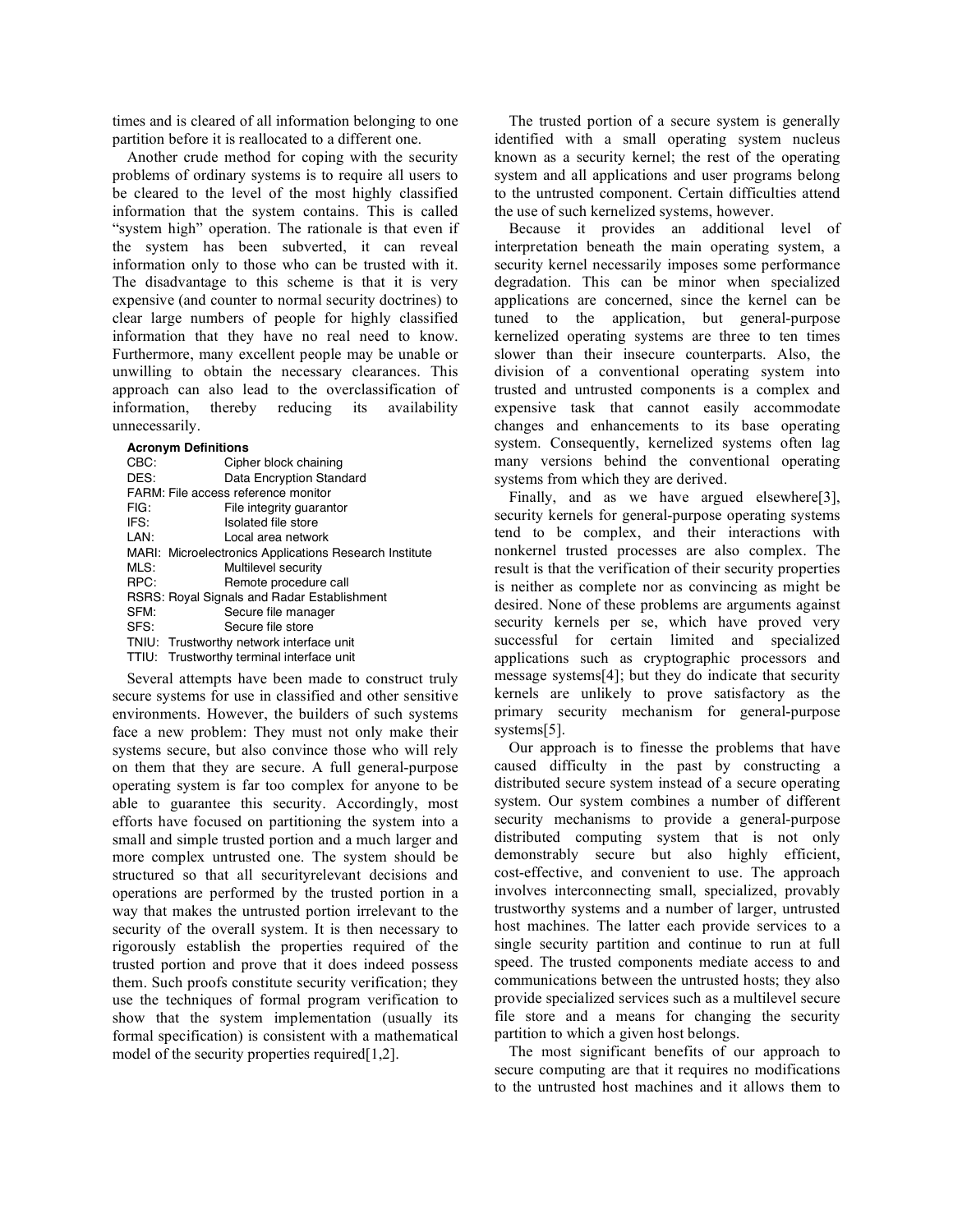times and is cleared of all information belonging to one partition before it is reallocated to a different one.

Another crude method for coping with the security problems of ordinary systems is to require all users to be cleared to the level of the most highly classified information that the system contains. This is called "system high" operation. The rationale is that even if the system has been subverted, it can reveal information only to those who can be trusted with it. The disadvantage to this scheme is that it is very expensive (and counter to normal security doctrines) to clear large numbers of people for highly classified information that they have no real need to know. Furthermore, many excellent people may be unable or unwilling to obtain the necessary clearances. This approach can also lead to the overclassification of information, thereby reducing its availability unnecessarily.

#### **Acronym Definitions**

| CBC:                                | Cipher block chaining                                         |
|-------------------------------------|---------------------------------------------------------------|
| DES:                                | Data Encryption Standard                                      |
| FARM: File access reference monitor |                                                               |
| FIG:                                | File integrity quarantor                                      |
| IFS:                                | Isolated file store                                           |
| LAN:                                | Local area network                                            |
|                                     | <b>MARI: Microelectronics Applications Research Institute</b> |
| MLS:                                | Multilevel security                                           |
| RPC:                                | Remote procedure call                                         |
|                                     | RSRS: Royal Signals and Radar Establishment                   |
| SFM:                                | Secure file manager                                           |
| SFS:                                | Secure file store                                             |
|                                     | TNIU: Trustworthy network interface unit                      |
| TTIU:                               | Trustworthy terminal interface unit                           |

Several attempts have been made to construct truly secure systems for use in classified and other sensitive environments. However, the builders of such systems face a new problem: They must not only make their systems secure, but also convince those who will rely on them that they are secure. A full general-purpose operating system is far too complex for anyone to be able to guarantee this security. Accordingly, most efforts have focused on partitioning the system into a small and simple trusted portion and a much larger and more complex untrusted one. The system should be structured so that all securityrelevant decisions and operations are performed by the trusted portion in a way that makes the untrusted portion irrelevant to the security of the overall system. It is then necessary to rigorously establish the properties required of the trusted portion and prove that it does indeed possess them. Such proofs constitute security verification; they use the techniques of formal program verification to show that the system implementation (usually its formal specification) is consistent with a mathematical model of the security properties required[1,2].

The trusted portion of a secure system is generally identified with a small operating system nucleus known as a security kernel; the rest of the operating system and all applications and user programs belong to the untrusted component. Certain difficulties attend the use of such kernelized systems, however.

Because it provides an additional level of interpretation beneath the main operating system, a security kernel necessarily imposes some performance degradation. This can be minor when specialized applications are concerned, since the kernel can be tuned to the application, but general-purpose kernelized operating systems are three to ten times slower than their insecure counterparts. Also, the division of a conventional operating system into trusted and untrusted components is a complex and expensive task that cannot easily accommodate changes and enhancements to its base operating system. Consequently, kernelized systems often lag many versions behind the conventional operating systems from which they are derived.

Finally, and as we have argued elsewhere<sup>[3]</sup>, security kernels for general-purpose operating systems tend to be complex, and their interactions with nonkernel trusted processes are also complex. The result is that the verification of their security properties is neither as complete nor as convincing as might be desired. None of these problems are arguments against security kernels per se, which have proved very successful for certain limited and specialized applications such as cryptographic processors and message systems[4]; but they do indicate that security kernels are unlikely to prove satisfactory as the primary security mechanism for general-purpose systems[5].

Our approach is to finesse the problems that have caused difficulty in the past by constructing a distributed secure system instead of a secure operating system. Our system combines a number of different security mechanisms to provide a general-purpose distributed computing system that is not only demonstrably secure but also highly efficient, cost-effective, and convenient to use. The approach involves interconnecting small, specialized, provably trustworthy systems and a number of larger, untrusted host machines. The latter each provide services to a single security partition and continue to run at full speed. The trusted components mediate access to and communications between the untrusted hosts; they also provide specialized services such as a multilevel secure file store and a means for changing the security partition to which a given host belongs.

The most significant benefits of our approach to secure computing are that it requires no modifications to the untrusted host machines and it allows them to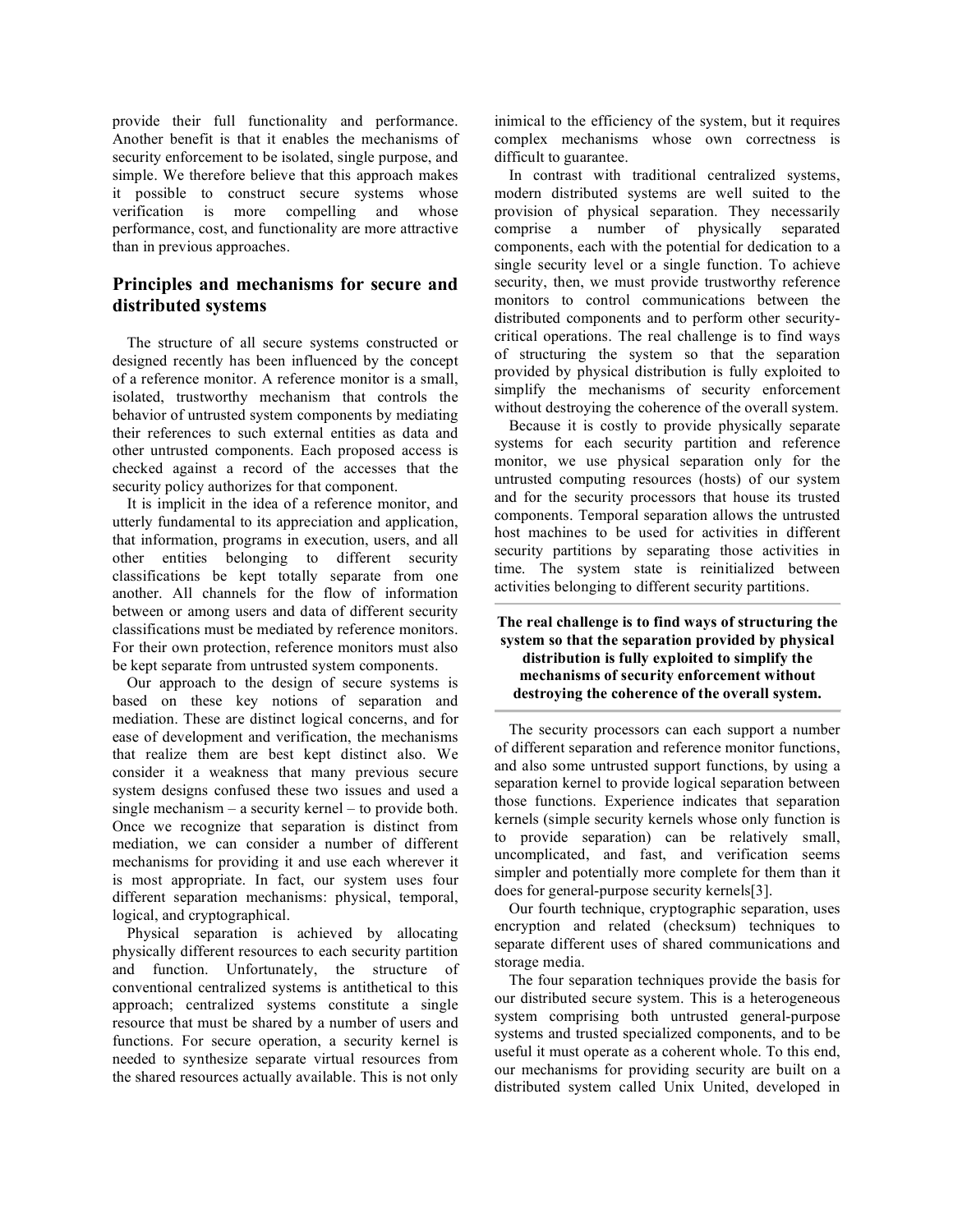provide their full functionality and performance. Another benefit is that it enables the mechanisms of security enforcement to be isolated, single purpose, and simple. We therefore believe that this approach makes it possible to construct secure systems whose verification is more compelling and whose performance, cost, and functionality are more attractive than in previous approaches.

# **Principles and mechanisms for secure and distributed systems**

The structure of all secure systems constructed or designed recently has been influenced by the concept of a reference monitor. A reference monitor is a small, isolated, trustworthy mechanism that controls the behavior of untrusted system components by mediating their references to such external entities as data and other untrusted components. Each proposed access is checked against a record of the accesses that the security policy authorizes for that component.

It is implicit in the idea of a reference monitor, and utterly fundamental to its appreciation and application, that information, programs in execution, users, and all other entities belonging to different security classifications be kept totally separate from one another. All channels for the flow of information between or among users and data of different security classifications must be mediated by reference monitors. For their own protection, reference monitors must also be kept separate from untrusted system components.

Our approach to the design of secure systems is based on these key notions of separation and mediation. These are distinct logical concerns, and for ease of development and verification, the mechanisms that realize them are best kept distinct also. We consider it a weakness that many previous secure system designs confused these two issues and used a single mechanism – a security kernel – to provide both. Once we recognize that separation is distinct from mediation, we can consider a number of different mechanisms for providing it and use each wherever it is most appropriate. In fact, our system uses four different separation mechanisms: physical, temporal, logical, and cryptographical.

Physical separation is achieved by allocating physically different resources to each security partition and function. Unfortunately, the structure of conventional centralized systems is antithetical to this approach; centralized systems constitute a single resource that must be shared by a number of users and functions. For secure operation, a security kernel is needed to synthesize separate virtual resources from the shared resources actually available. This is not only

inimical to the efficiency of the system, but it requires complex mechanisms whose own correctness is difficult to guarantee.

In contrast with traditional centralized systems, modern distributed systems are well suited to the provision of physical separation. They necessarily comprise a number of physically separated components, each with the potential for dedication to a single security level or a single function. To achieve security, then, we must provide trustworthy reference monitors to control communications between the distributed components and to perform other securitycritical operations. The real challenge is to find ways of structuring the system so that the separation provided by physical distribution is fully exploited to simplify the mechanisms of security enforcement without destroying the coherence of the overall system.

Because it is costly to provide physically separate systems for each security partition and reference monitor, we use physical separation only for the untrusted computing resources (hosts) of our system and for the security processors that house its trusted components. Temporal separation allows the untrusted host machines to be used for activities in different security partitions by separating those activities in time. The system state is reinitialized between activities belonging to different security partitions.

### **The real challenge is to find ways of structuring the system so that the separation provided by physical distribution is fully exploited to simplify the mechanisms of security enforcement without destroying the coherence of the overall system.**

The security processors can each support a number of different separation and reference monitor functions, and also some untrusted support functions, by using a separation kernel to provide logical separation between those functions. Experience indicates that separation kernels (simple security kernels whose only function is to provide separation) can be relatively small, uncomplicated, and fast, and verification seems simpler and potentially more complete for them than it does for general-purpose security kernels[3].

Our fourth technique, cryptographic separation, uses encryption and related (checksum) techniques to separate different uses of shared communications and storage media.

The four separation techniques provide the basis for our distributed secure system. This is a heterogeneous system comprising both untrusted general-purpose systems and trusted specialized components, and to be useful it must operate as a coherent whole. To this end, our mechanisms for providing security are built on a distributed system called Unix United, developed in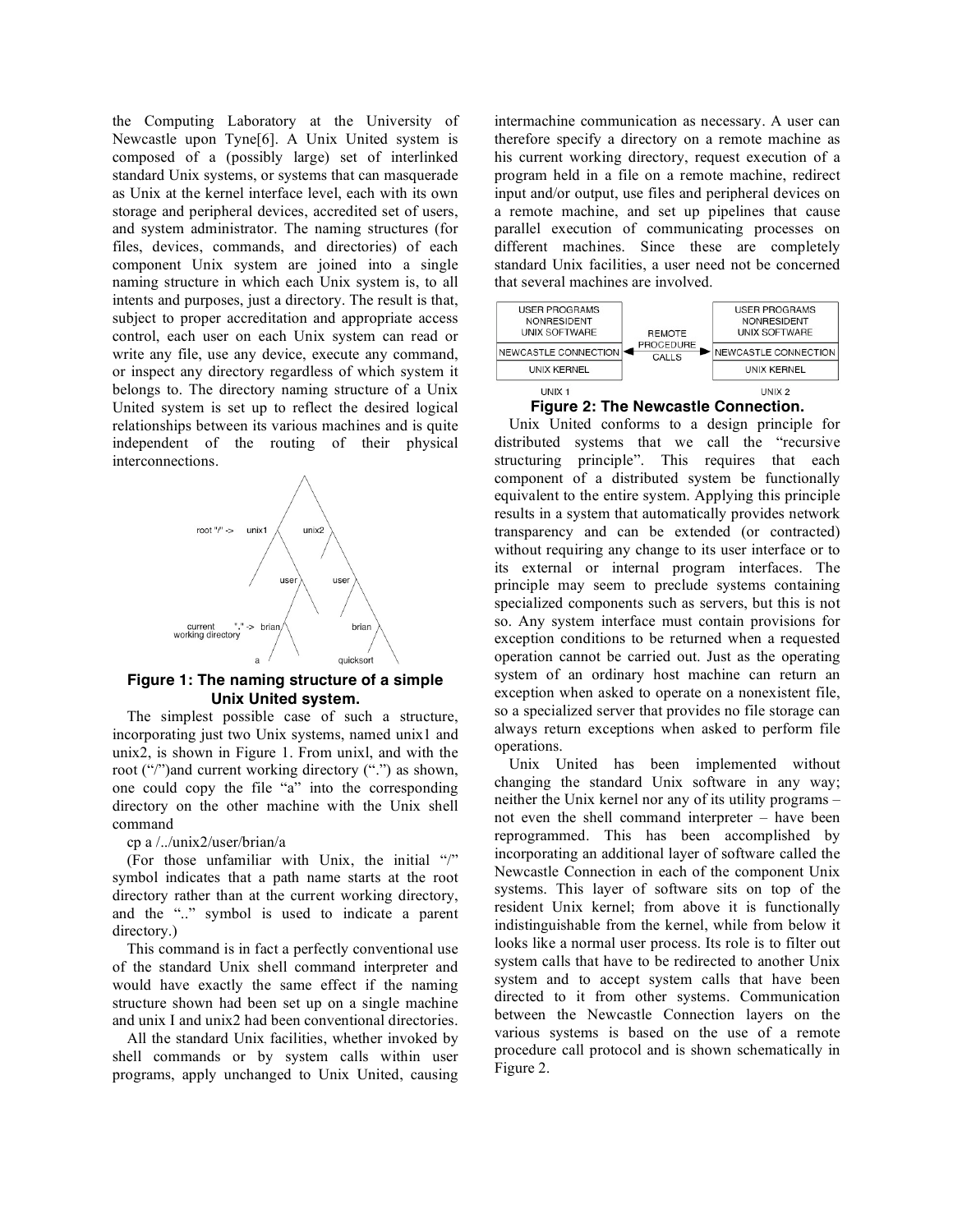the Computing Laboratory at the University of Newcastle upon Tyne[6]. A Unix United system is composed of a (possibly large) set of interlinked standard Unix systems, or systems that can masquerade as Unix at the kernel interface level, each with its own storage and peripheral devices, accredited set of users, and system administrator. The naming structures (for files, devices, commands, and directories) of each component Unix system are joined into a single naming structure in which each Unix system is, to all intents and purposes, just a directory. The result is that, subject to proper accreditation and appropriate access control, each user on each Unix system can read or write any file, use any device, execute any command, or inspect any directory regardless of which system it belongs to. The directory naming structure of a Unix United system is set up to reflect the desired logical relationships between its various machines and is quite independent of the routing of their physical interconnections.



#### **Figure 1: The naming structure of a simple Unix United system.**

The simplest possible case of such a structure, incorporating just two Unix systems, named unix1 and unix2, is shown in Figure 1. From unixl, and with the root ("/")and current working directory (".") as shown, one could copy the file "a" into the corresponding directory on the other machine with the Unix shell command

cp a /../unix2/user/brian/a

(For those unfamiliar with Unix, the initial "/" symbol indicates that a path name starts at the root directory rather than at the current working directory, and the ".." symbol is used to indicate a parent directory.)

This command is in fact a perfectly conventional use of the standard Unix shell command interpreter and would have exactly the same effect if the naming structure shown had been set up on a single machine and unix I and unix2 had been conventional directories.

All the standard Unix facilities, whether invoked by shell commands or by system calls within user programs, apply unchanged to Unix United, causing

intermachine communication as necessary. A user can therefore specify a directory on a remote machine as his current working directory, request execution of a program held in a file on a remote machine, redirect input and/or output, use files and peripheral devices on a remote machine, and set up pipelines that cause parallel execution of communicating processes on different machines. Since these are completely standard Unix facilities, a user need not be concerned that several machines are involved.



**Figure 2: The Newcastle Connection.**

Unix United conforms to a design principle for distributed systems that we call the "recursive structuring principle". This requires that each component of a distributed system be functionally equivalent to the entire system. Applying this principle results in a system that automatically provides network transparency and can be extended (or contracted) without requiring any change to its user interface or to its external or internal program interfaces. The principle may seem to preclude systems containing specialized components such as servers, but this is not so. Any system interface must contain provisions for exception conditions to be returned when a requested operation cannot be carried out. Just as the operating system of an ordinary host machine can return an exception when asked to operate on a nonexistent file, so a specialized server that provides no file storage can always return exceptions when asked to perform file operations.

Unix United has been implemented without changing the standard Unix software in any way; neither the Unix kernel nor any of its utility programs – not even the shell command interpreter – have been reprogrammed. This has been accomplished by incorporating an additional layer of software called the Newcastle Connection in each of the component Unix systems. This layer of software sits on top of the resident Unix kernel; from above it is functionally indistinguishable from the kernel, while from below it looks like a normal user process. Its role is to filter out system calls that have to be redirected to another Unix system and to accept system calls that have been directed to it from other systems. Communication between the Newcastle Connection layers on the various systems is based on the use of a remote procedure call protocol and is shown schematically in Figure 2.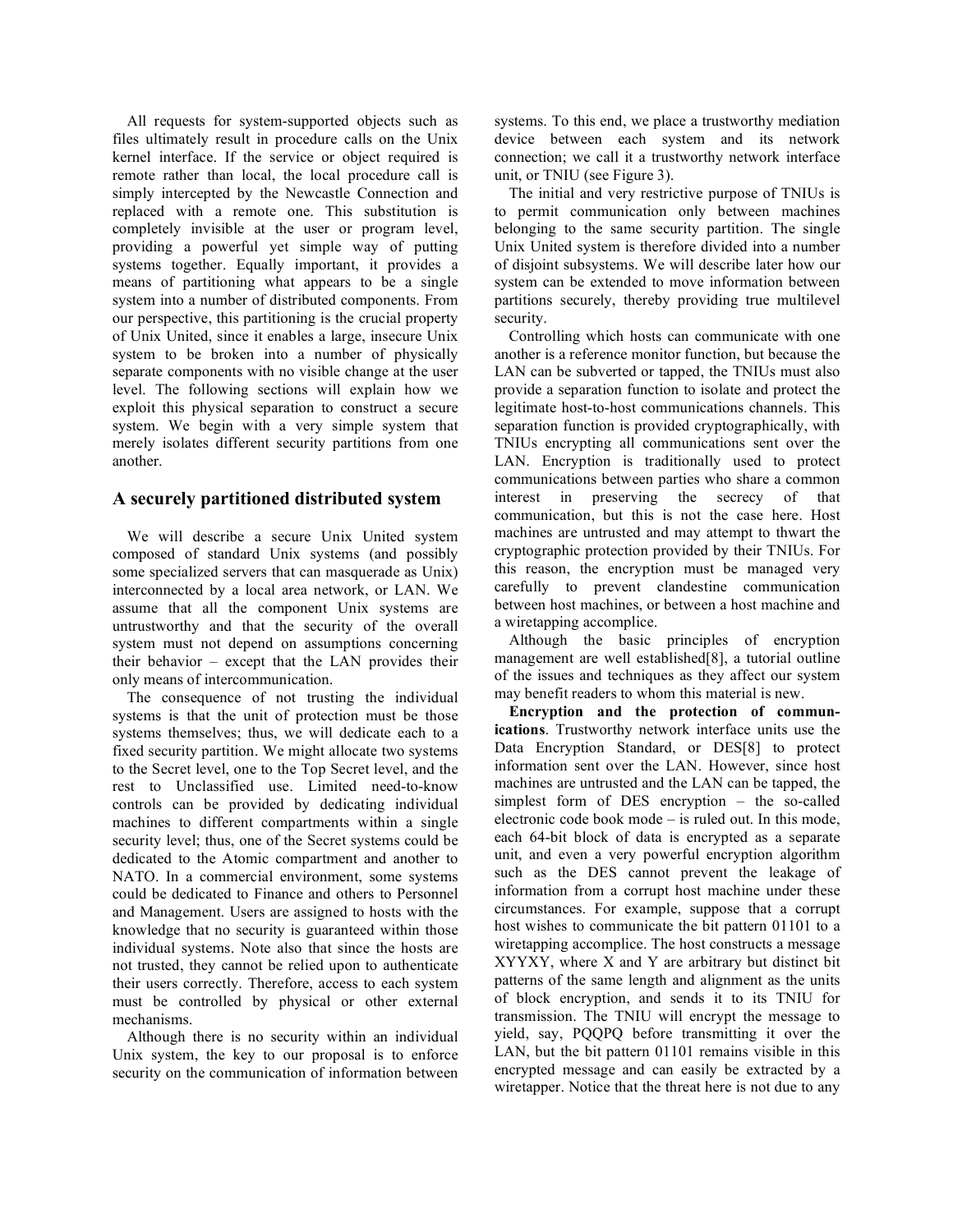All requests for system-supported objects such as files ultimately result in procedure calls on the Unix kernel interface. If the service or object required is remote rather than local, the local procedure call is simply intercepted by the Newcastle Connection and replaced with a remote one. This substitution is completely invisible at the user or program level, providing a powerful yet simple way of putting systems together. Equally important, it provides a means of partitioning what appears to be a single system into a number of distributed components. From our perspective, this partitioning is the crucial property of Unix United, since it enables a large, insecure Unix system to be broken into a number of physically separate components with no visible change at the user level. The following sections will explain how we exploit this physical separation to construct a secure system. We begin with a very simple system that merely isolates different security partitions from one another.

# **A securely partitioned distributed system**

We will describe a secure Unix United system composed of standard Unix systems (and possibly some specialized servers that can masquerade as Unix) interconnected by a local area network, or LAN. We assume that all the component Unix systems are untrustworthy and that the security of the overall system must not depend on assumptions concerning their behavior – except that the LAN provides their only means of intercommunication.

The consequence of not trusting the individual systems is that the unit of protection must be those systems themselves; thus, we will dedicate each to a fixed security partition. We might allocate two systems to the Secret level, one to the Top Secret level, and the rest to Unclassified use. Limited need-to-know controls can be provided by dedicating individual machines to different compartments within a single security level; thus, one of the Secret systems could be dedicated to the Atomic compartment and another to NATO. In a commercial environment, some systems could be dedicated to Finance and others to Personnel and Management. Users are assigned to hosts with the knowledge that no security is guaranteed within those individual systems. Note also that since the hosts are not trusted, they cannot be relied upon to authenticate their users correctly. Therefore, access to each system must be controlled by physical or other external mechanisms.

Although there is no security within an individual Unix system, the key to our proposal is to enforce security on the communication of information between

systems. To this end, we place a trustworthy mediation device between each system and its network connection; we call it a trustworthy network interface unit, or TNIU (see Figure 3).

The initial and very restrictive purpose of TNIUs is to permit communication only between machines belonging to the same security partition. The single Unix United system is therefore divided into a number of disjoint subsystems. We will describe later how our system can be extended to move information between partitions securely, thereby providing true multilevel security.

Controlling which hosts can communicate with one another is a reference monitor function, but because the LAN can be subverted or tapped, the TNIUs must also provide a separation function to isolate and protect the legitimate host-to-host communications channels. This separation function is provided cryptographically, with TNIUs encrypting all communications sent over the LAN. Encryption is traditionally used to protect communications between parties who share a common interest in preserving the secrecy of that communication, but this is not the case here. Host machines are untrusted and may attempt to thwart the cryptographic protection provided by their TNIUs. For this reason, the encryption must be managed very carefully to prevent clandestine communication between host machines, or between a host machine and a wiretapping accomplice.

Although the basic principles of encryption management are well established[8], a tutorial outline of the issues and techniques as they affect our system may benefit readers to whom this material is new.

**Encryption and the protection of communications**. Trustworthy network interface units use the Data Encryption Standard, or DES[8] to protect information sent over the LAN. However, since host machines are untrusted and the LAN can be tapped, the simplest form of DES encryption – the so-called electronic code book mode – is ruled out. In this mode, each 64-bit block of data is encrypted as a separate unit, and even a very powerful encryption algorithm such as the DES cannot prevent the leakage of information from a corrupt host machine under these circumstances. For example, suppose that a corrupt host wishes to communicate the bit pattern 01101 to a wiretapping accomplice. The host constructs a message XYYXY, where X and Y are arbitrary but distinct bit patterns of the same length and alignment as the units of block encryption, and sends it to its TNIU for transmission. The TNIU will encrypt the message to yield, say, PQQPQ before transmitting it over the LAN, but the bit pattern 01101 remains visible in this encrypted message and can easily be extracted by a wiretapper. Notice that the threat here is not due to any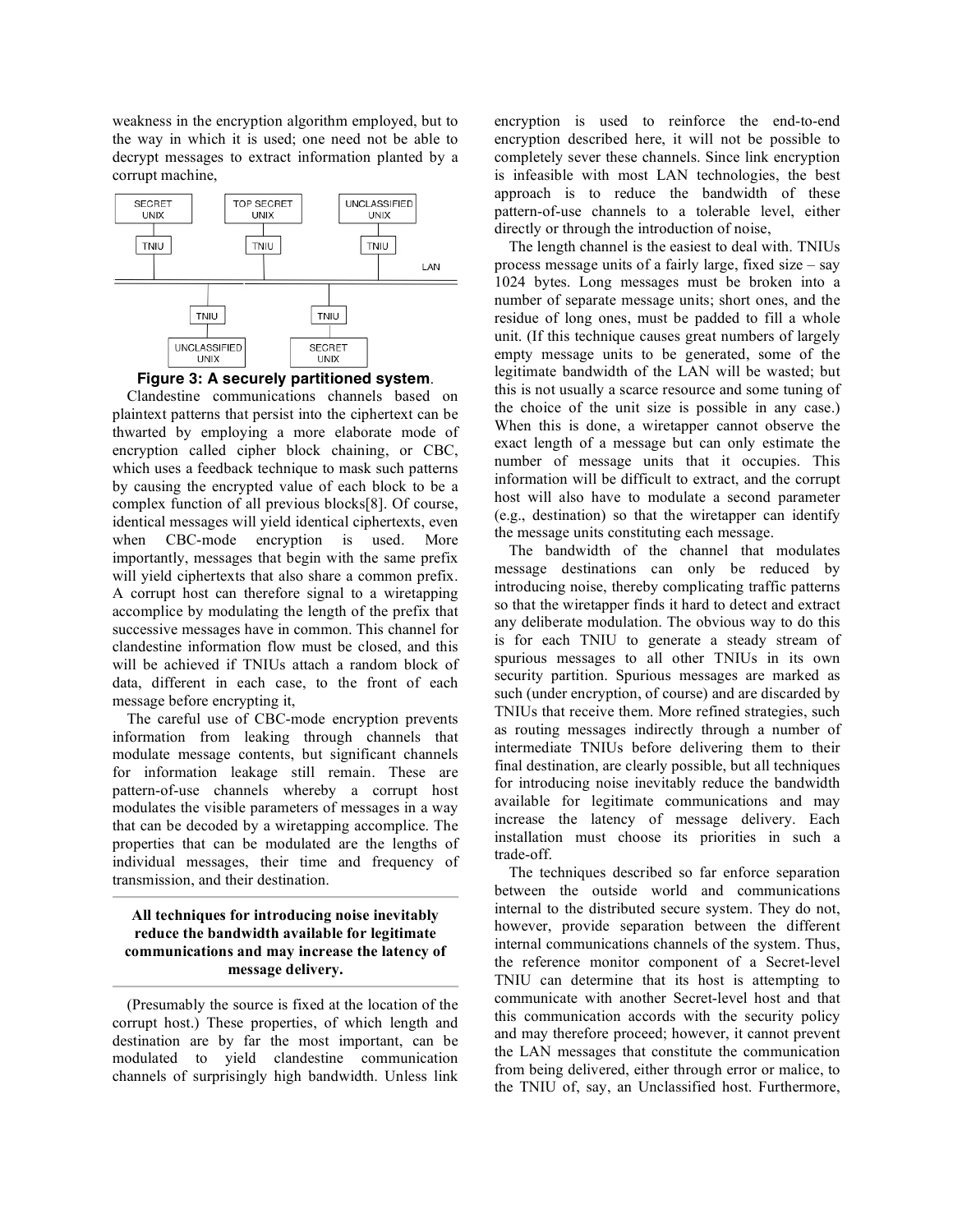weakness in the encryption algorithm employed, but to the way in which it is used; one need not be able to decrypt messages to extract information planted by a corrupt machine,





Clandestine communications channels based on plaintext patterns that persist into the ciphertext can be thwarted by employing a more elaborate mode of encryption called cipher block chaining, or CBC, which uses a feedback technique to mask such patterns by causing the encrypted value of each block to be a complex function of all previous blocks[8]. Of course, identical messages will yield identical ciphertexts, even when CBC-mode encryption is used. More importantly, messages that begin with the same prefix will yield ciphertexts that also share a common prefix. A corrupt host can therefore signal to a wiretapping accomplice by modulating the length of the prefix that successive messages have in common. This channel for clandestine information flow must be closed, and this will be achieved if TNIUs attach a random block of data, different in each case, to the front of each message before encrypting it,

The careful use of CBC-mode encryption prevents information from leaking through channels that modulate message contents, but significant channels for information leakage still remain. These are pattern-of-use channels whereby a corrupt host modulates the visible parameters of messages in a way that can be decoded by a wiretapping accomplice. The properties that can be modulated are the lengths of individual messages, their time and frequency of transmission, and their destination.

### **All techniques for introducing noise inevitably reduce the bandwidth available for legitimate communications and may increase the latency of message delivery.**

(Presumably the source is fixed at the location of the corrupt host.) These properties, of which length and destination are by far the most important, can be modulated to yield clandestine communication channels of surprisingly high bandwidth. Unless link

encryption is used to reinforce the end-to-end encryption described here, it will not be possible to completely sever these channels. Since link encryption is infeasible with most LAN technologies, the best approach is to reduce the bandwidth of these pattern-of-use channels to a tolerable level, either directly or through the introduction of noise,

The length channel is the easiest to deal with. TNIUs process message units of a fairly large, fixed size – say 1024 bytes. Long messages must be broken into a number of separate message units; short ones, and the residue of long ones, must be padded to fill a whole unit. (If this technique causes great numbers of largely empty message units to be generated, some of the legitimate bandwidth of the LAN will be wasted; but this is not usually a scarce resource and some tuning of the choice of the unit size is possible in any case.) When this is done, a wiretapper cannot observe the exact length of a message but can only estimate the number of message units that it occupies. This information will be difficult to extract, and the corrupt host will also have to modulate a second parameter (e.g., destination) so that the wiretapper can identify the message units constituting each message.

The bandwidth of the channel that modulates message destinations can only be reduced by introducing noise, thereby complicating traffic patterns so that the wiretapper finds it hard to detect and extract any deliberate modulation. The obvious way to do this is for each TNIU to generate a steady stream of spurious messages to all other TNIUs in its own security partition. Spurious messages are marked as such (under encryption, of course) and are discarded by TNIUs that receive them. More refined strategies, such as routing messages indirectly through a number of intermediate TNIUs before delivering them to their final destination, are clearly possible, but all techniques for introducing noise inevitably reduce the bandwidth available for legitimate communications and may increase the latency of message delivery. Each installation must choose its priorities in such a trade-off.

The techniques described so far enforce separation between the outside world and communications internal to the distributed secure system. They do not, however, provide separation between the different internal communications channels of the system. Thus, the reference monitor component of a Secret-level TNIU can determine that its host is attempting to communicate with another Secret-level host and that this communication accords with the security policy and may therefore proceed; however, it cannot prevent the LAN messages that constitute the communication from being delivered, either through error or malice, to the TNIU of, say, an Unclassified host. Furthermore,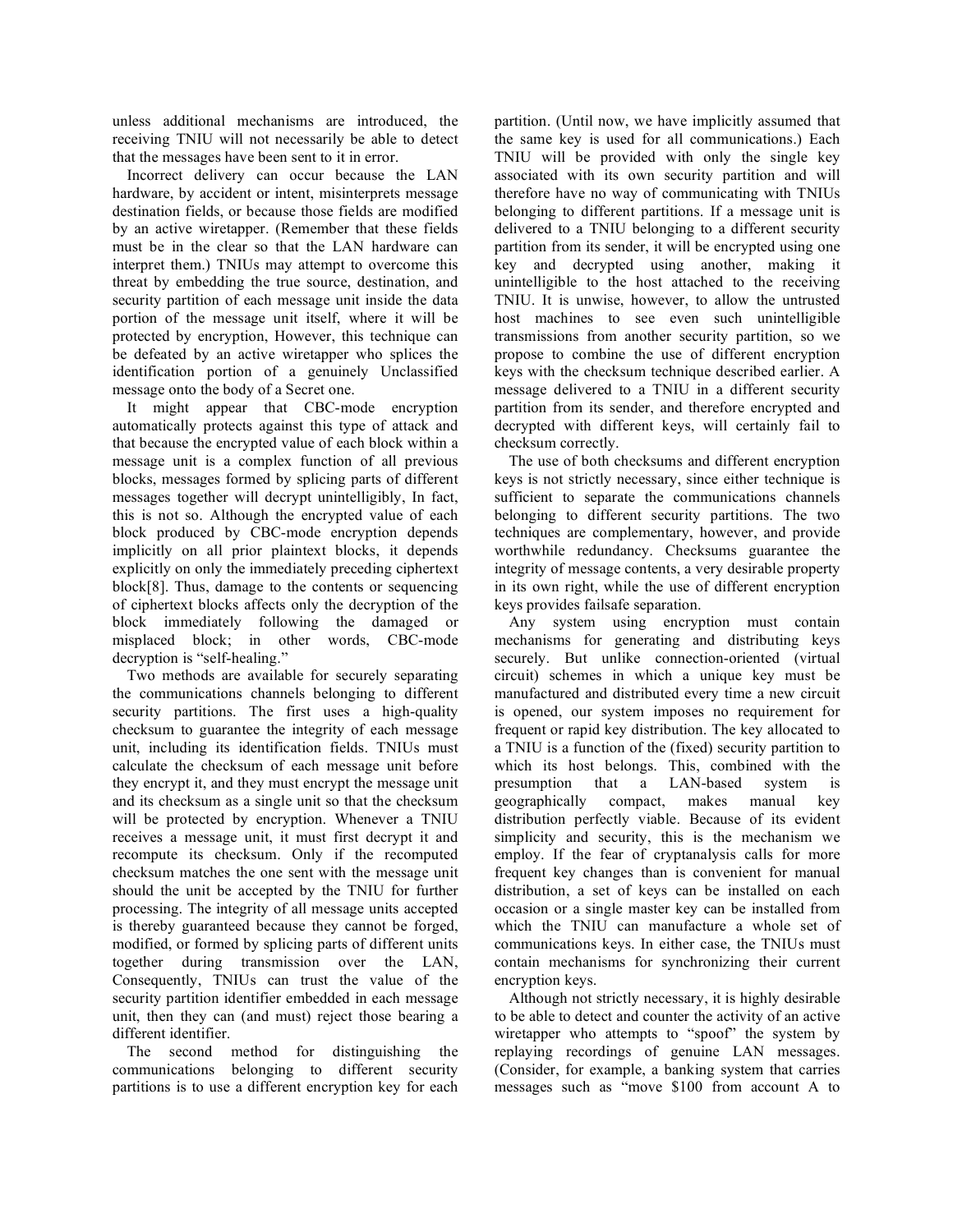unless additional mechanisms are introduced, the receiving TNIU will not necessarily be able to detect that the messages have been sent to it in error.

Incorrect delivery can occur because the LAN hardware, by accident or intent, misinterprets message destination fields, or because those fields are modified by an active wiretapper. (Remember that these fields must be in the clear so that the LAN hardware can interpret them.) TNIUs may attempt to overcome this threat by embedding the true source, destination, and security partition of each message unit inside the data portion of the message unit itself, where it will be protected by encryption, However, this technique can be defeated by an active wiretapper who splices the identification portion of a genuinely Unclassified message onto the body of a Secret one.

It might appear that CBC-mode encryption automatically protects against this type of attack and that because the encrypted value of each block within a message unit is a complex function of all previous blocks, messages formed by splicing parts of different messages together will decrypt unintelligibly, In fact, this is not so. Although the encrypted value of each block produced by CBC-mode encryption depends implicitly on all prior plaintext blocks, it depends explicitly on only the immediately preceding ciphertext block[8]. Thus, damage to the contents or sequencing of ciphertext blocks affects only the decryption of the block immediately following the damaged or misplaced block; in other words, CBC-mode decryption is "self-healing."

Two methods are available for securely separating the communications channels belonging to different security partitions. The first uses a high-quality checksum to guarantee the integrity of each message unit, including its identification fields. TNIUs must calculate the checksum of each message unit before they encrypt it, and they must encrypt the message unit and its checksum as a single unit so that the checksum will be protected by encryption. Whenever a TNIU receives a message unit, it must first decrypt it and recompute its checksum. Only if the recomputed checksum matches the one sent with the message unit should the unit be accepted by the TNIU for further processing. The integrity of all message units accepted is thereby guaranteed because they cannot be forged, modified, or formed by splicing parts of different units together during transmission over the LAN, Consequently, TNIUs can trust the value of the security partition identifier embedded in each message unit, then they can (and must) reject those bearing a different identifier.

The second method for distinguishing the communications belonging to different security partitions is to use a different encryption key for each partition. (Until now, we have implicitly assumed that the same key is used for all communications.) Each TNIU will be provided with only the single key associated with its own security partition and will therefore have no way of communicating with TNIUs belonging to different partitions. If a message unit is delivered to a TNIU belonging to a different security partition from its sender, it will be encrypted using one key and decrypted using another, making it unintelligible to the host attached to the receiving TNIU. It is unwise, however, to allow the untrusted host machines to see even such unintelligible transmissions from another security partition, so we propose to combine the use of different encryption keys with the checksum technique described earlier. A message delivered to a TNIU in a different security partition from its sender, and therefore encrypted and decrypted with different keys, will certainly fail to checksum correctly.

The use of both checksums and different encryption keys is not strictly necessary, since either technique is sufficient to separate the communications channels belonging to different security partitions. The two techniques are complementary, however, and provide worthwhile redundancy. Checksums guarantee the integrity of message contents, a very desirable property in its own right, while the use of different encryption keys provides failsafe separation.

Any system using encryption must contain mechanisms for generating and distributing keys securely. But unlike connection-oriented (virtual circuit) schemes in which a unique key must be manufactured and distributed every time a new circuit is opened, our system imposes no requirement for frequent or rapid key distribution. The key allocated to a TNIU is a function of the (fixed) security partition to which its host belongs. This, combined with the presumption that a LAN-based system is geographically compact, makes manual key distribution perfectly viable. Because of its evident simplicity and security, this is the mechanism we employ. If the fear of cryptanalysis calls for more frequent key changes than is convenient for manual distribution, a set of keys can be installed on each occasion or a single master key can be installed from which the TNIU can manufacture a whole set of communications keys. In either case, the TNIUs must contain mechanisms for synchronizing their current encryption keys.

Although not strictly necessary, it is highly desirable to be able to detect and counter the activity of an active wiretapper who attempts to "spoof" the system by replaying recordings of genuine LAN messages. (Consider, for example, a banking system that carries messages such as "move \$100 from account A to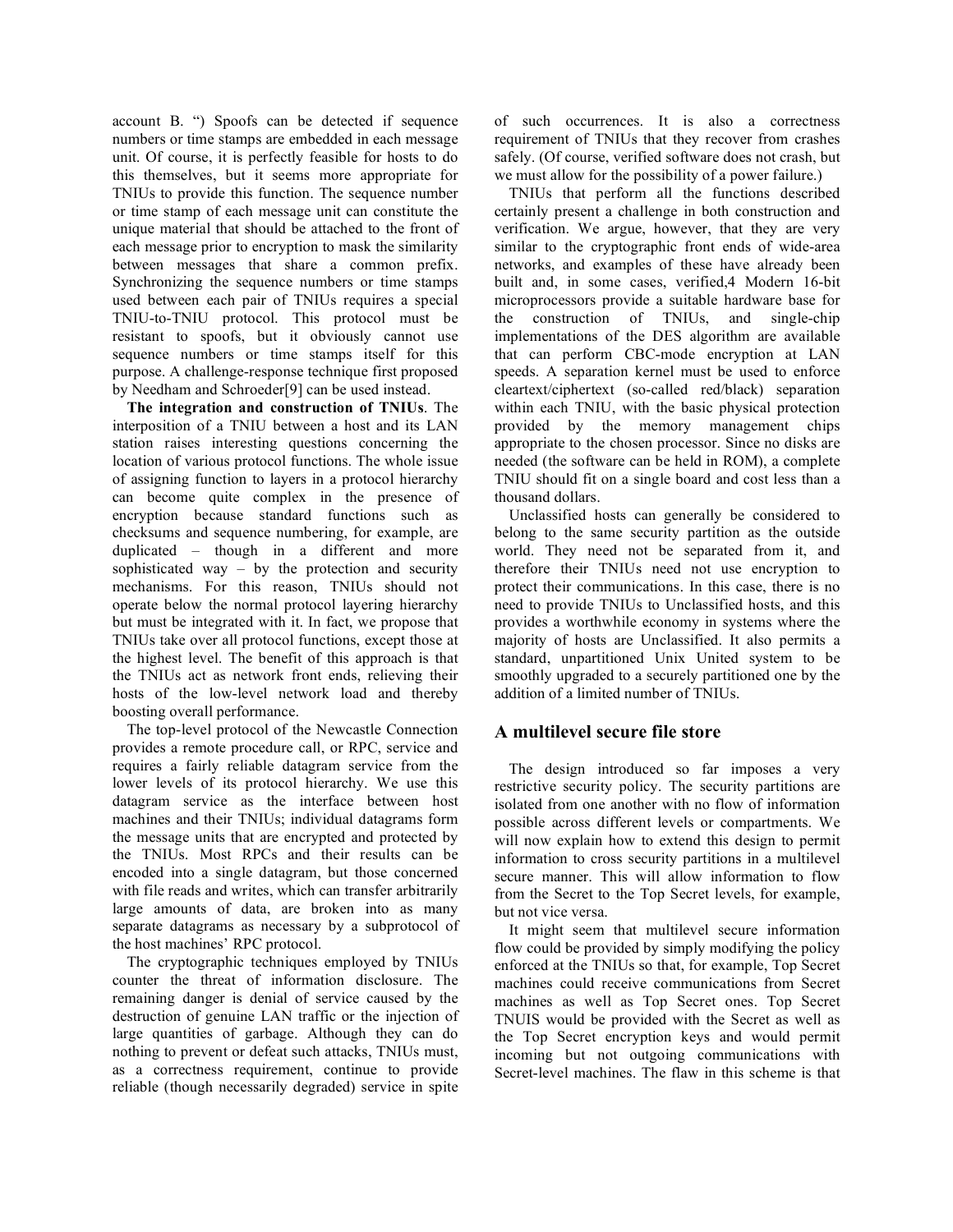account B. ") Spoofs can be detected if sequence numbers or time stamps are embedded in each message unit. Of course, it is perfectly feasible for hosts to do this themselves, but it seems more appropriate for TNIUs to provide this function. The sequence number or time stamp of each message unit can constitute the unique material that should be attached to the front of each message prior to encryption to mask the similarity between messages that share a common prefix. Synchronizing the sequence numbers or time stamps used between each pair of TNIUs requires a special TNIU-to-TNIU protocol. This protocol must be resistant to spoofs, but it obviously cannot use sequence numbers or time stamps itself for this purpose. A challenge-response technique first proposed by Needham and Schroeder[9] can be used instead.

**The integration and construction of TNIUs**. The interposition of a TNIU between a host and its LAN station raises interesting questions concerning the location of various protocol functions. The whole issue of assigning function to layers in a protocol hierarchy can become quite complex in the presence of encryption because standard functions such as checksums and sequence numbering, for example, are duplicated – though in a different and more sophisticated way – by the protection and security mechanisms. For this reason, TNIUs should not operate below the normal protocol layering hierarchy but must be integrated with it. In fact, we propose that TNIUs take over all protocol functions, except those at the highest level. The benefit of this approach is that the TNIUs act as network front ends, relieving their hosts of the low-level network load and thereby boosting overall performance.

The top-level protocol of the Newcastle Connection provides a remote procedure call, or RPC, service and requires a fairly reliable datagram service from the lower levels of its protocol hierarchy. We use this datagram service as the interface between host machines and their TNIUs; individual datagrams form the message units that are encrypted and protected by the TNIUs. Most RPCs and their results can be encoded into a single datagram, but those concerned with file reads and writes, which can transfer arbitrarily large amounts of data, are broken into as many separate datagrams as necessary by a subprotocol of the host machines' RPC protocol.

The cryptographic techniques employed by TNIUs counter the threat of information disclosure. The remaining danger is denial of service caused by the destruction of genuine LAN traffic or the injection of large quantities of garbage. Although they can do nothing to prevent or defeat such attacks, TNIUs must, as a correctness requirement, continue to provide reliable (though necessarily degraded) service in spite

of such occurrences. It is also a correctness requirement of TNIUs that they recover from crashes safely. (Of course, verified software does not crash, but we must allow for the possibility of a power failure.)

TNIUs that perform all the functions described certainly present a challenge in both construction and verification. We argue, however, that they are very similar to the cryptographic front ends of wide-area networks, and examples of these have already been built and, in some cases, verified,4 Modern 16-bit microprocessors provide a suitable hardware base for the construction of TNIUs, and single-chip implementations of the DES algorithm are available that can perform CBC-mode encryption at LAN speeds. A separation kernel must be used to enforce cleartext/ciphertext (so-called red/black) separation within each TNIU, with the basic physical protection provided by the memory management chips appropriate to the chosen processor. Since no disks are needed (the software can be held in ROM), a complete TNIU should fit on a single board and cost less than a thousand dollars.

Unclassified hosts can generally be considered to belong to the same security partition as the outside world. They need not be separated from it, and therefore their TNIUs need not use encryption to protect their communications. In this case, there is no need to provide TNIUs to Unclassified hosts, and this provides a worthwhile economy in systems where the majority of hosts are Unclassified. It also permits a standard, unpartitioned Unix United system to be smoothly upgraded to a securely partitioned one by the addition of a limited number of TNIUs.

# **A multilevel secure file store**

The design introduced so far imposes a very restrictive security policy. The security partitions are isolated from one another with no flow of information possible across different levels or compartments. We will now explain how to extend this design to permit information to cross security partitions in a multilevel secure manner. This will allow information to flow from the Secret to the Top Secret levels, for example, but not vice versa.

It might seem that multilevel secure information flow could be provided by simply modifying the policy enforced at the TNIUs so that, for example, Top Secret machines could receive communications from Secret machines as well as Top Secret ones. Top Secret TNUIS would be provided with the Secret as well as the Top Secret encryption keys and would permit incoming but not outgoing communications with Secret-level machines. The flaw in this scheme is that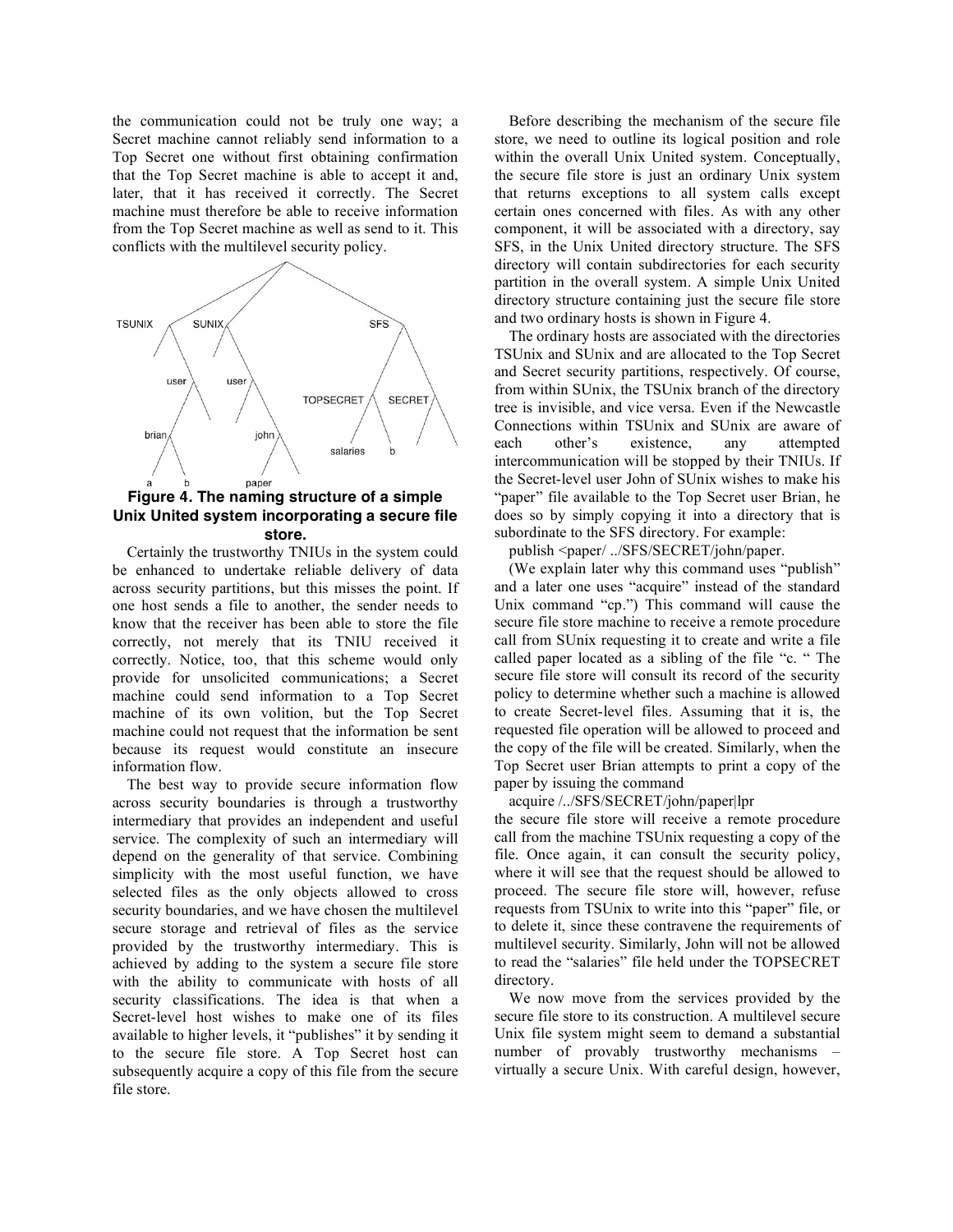the communication could not be truly one way; a Secret machine cannot reliably send information to a Top Secret one without first obtaining confirmation that the Top Secret machine is able to accept it and, later, that it has received it correctly. The Secret machine must therefore be able to receive information from the Top Secret machine as well as send to it. This conflicts with the multilevel security policy.



**Unix United system incorporating a secure file store.**

Certainly the trustworthy TNIUs in the system could be enhanced to undertake reliable delivery of data across security partitions, but this misses the point. If one host sends a file to another, the sender needs to know that the receiver has been able to store the file correctly, not merely that its TNIU received it correctly. Notice, too, that this scheme would only provide for unsolicited communications; a Secret machine could send information to a Top Secret machine of its own volition, but the Top Secret machine could not request that the information be sent because its request would constitute an insecure information flow.

The best way to provide secure information flow across security boundaries is through a trustworthy intermediary that provides an independent and useful service. The complexity of such an intermediary will depend on the generality of that service. Combining simplicity with the most useful function, we have selected files as the only objects allowed to cross security boundaries, and we have chosen the multilevel secure storage and retrieval of files as the service provided by the trustworthy intermediary. This is achieved by adding to the system a secure file store with the ability to communicate with hosts of all security classifications. The idea is that when a Secret-level host wishes to make one of its files available to higher levels, it "publishes" it by sending it to the secure file store. A Top Secret host can subsequently acquire a copy of this file from the secure file store.

Before describing the mechanism of the secure file store, we need to outline its logical position and role within the overall Unix United system. Conceptually, the secure file store is just an ordinary Unix system that returns exceptions to all system calls except certain ones concerned with files. As with any other component, it will be associated with a directory, say SFS, in the Unix United directory structure. The SFS directory will contain subdirectories for each security partition in the overall system. A simple Unix United directory structure containing just the secure file store and two ordinary hosts is shown in Figure 4.

The ordinary hosts are associated with the directories TSUnix and SUnix and are allocated to the Top Secret and Secret security partitions, respectively. Of course, from within SUnix, the TSUnix branch of the directory tree is invisible, and vice versa. Even if the Newcastle Connections within TSUnix and SUnix are aware of each other's existence, any attempted intercommunication will be stopped by their TNIUs. If the Secret-level user John of SUnix wishes to make his "paper" file available to the Top Secret user Brian, he does so by simply copying it into a directory that is subordinate to the SFS directory. For example:

publish <paper/ ../SFS/SECRET/john/paper.

(We explain later why this command uses "publish" and a later one uses "acquire" instead of the standard Unix command "cp.") This command will cause the secure file store machine to receive a remote procedure call from SUnix requesting it to create and write a file called paper located as a sibling of the file "c. " The secure file store will consult its record of the security policy to determine whether such a machine is allowed to create Secret-level files. Assuming that it is, the requested file operation will be allowed to proceed and the copy of the file will be created. Similarly, when the Top Secret user Brian attempts to print a copy of the paper by issuing the command

acquire /../SFS/SECRET/john/paper|lpr

the secure file store will receive a remote procedure call from the machine TSUnix requesting a copy of the file. Once again, it can consult the security policy, where it will see that the request should be allowed to proceed. The secure file store will, however, refuse requests from TSUnix to write into this "paper" file, or to delete it, since these contravene the requirements of multilevel security. Similarly, John will not be allowed to read the "salaries" file held under the TOPSECRET directory.

We now move from the services provided by the secure file store to its construction. A multilevel secure Unix file system might seem to demand a substantial number of provably trustworthy mechanisms – virtually a secure Unix. With careful design, however,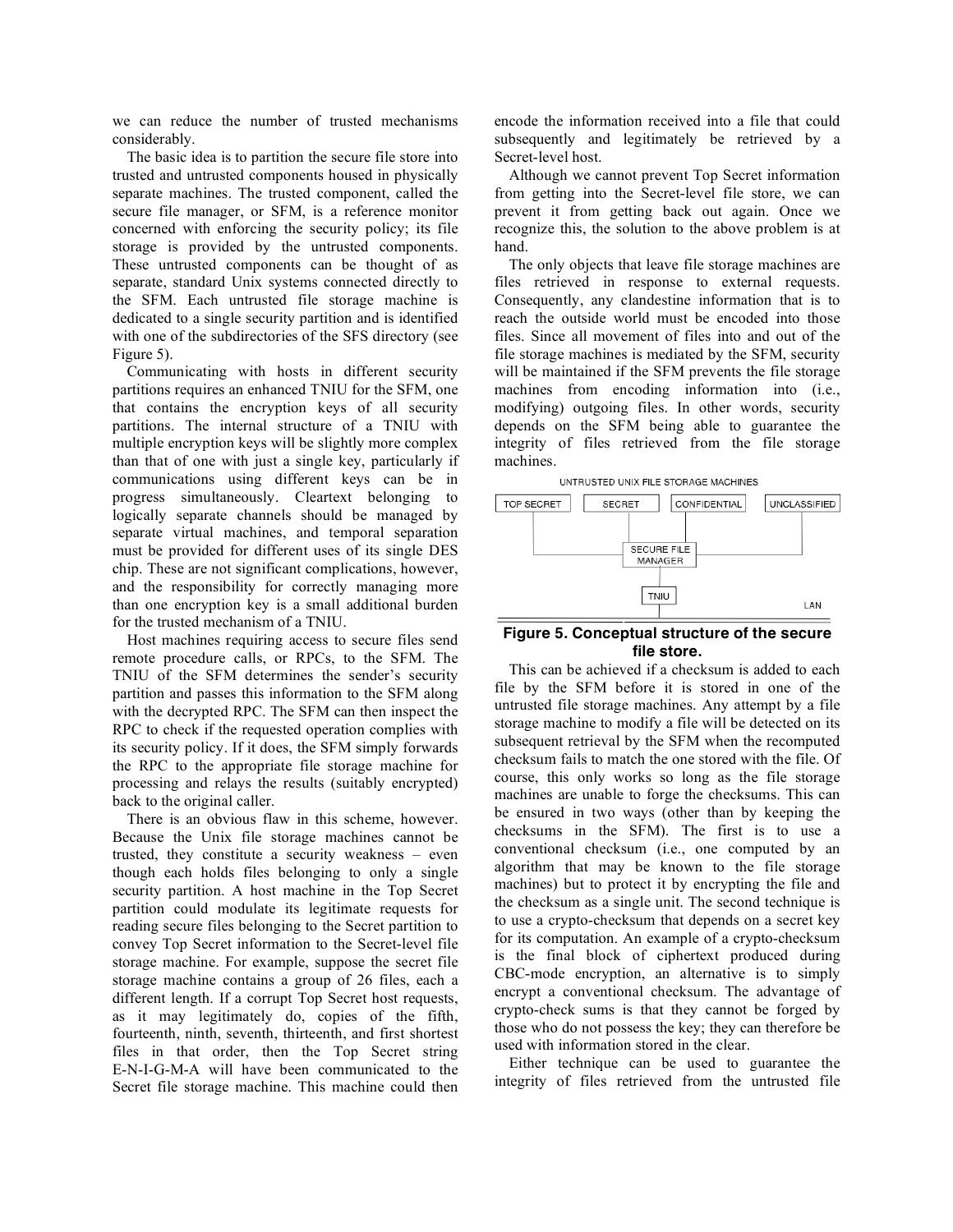we can reduce the number of trusted mechanisms considerably.

The basic idea is to partition the secure file store into trusted and untrusted components housed in physically separate machines. The trusted component, called the secure file manager, or SFM, is a reference monitor concerned with enforcing the security policy; its file storage is provided by the untrusted components. These untrusted components can be thought of as separate, standard Unix systems connected directly to the SFM. Each untrusted file storage machine is dedicated to a single security partition and is identified with one of the subdirectories of the SFS directory (see Figure 5).

Communicating with hosts in different security partitions requires an enhanced TNIU for the SFM, one that contains the encryption keys of all security partitions. The internal structure of a TNIU with multiple encryption keys will be slightly more complex than that of one with just a single key, particularly if communications using different keys can be in progress simultaneously. Cleartext belonging to logically separate channels should be managed by separate virtual machines, and temporal separation must be provided for different uses of its single DES chip. These are not significant complications, however, and the responsibility for correctly managing more than one encryption key is a small additional burden for the trusted mechanism of a TNIU.

Host machines requiring access to secure files send remote procedure calls, or RPCs, to the SFM. The TNIU of the SFM determines the sender's security partition and passes this information to the SFM along with the decrypted RPC. The SFM can then inspect the RPC to check if the requested operation complies with its security policy. If it does, the SFM simply forwards the RPC to the appropriate file storage machine for processing and relays the results (suitably encrypted) back to the original caller.

There is an obvious flaw in this scheme, however. Because the Unix file storage machines cannot be trusted, they constitute a security weakness – even though each holds files belonging to only a single security partition. A host machine in the Top Secret partition could modulate its legitimate requests for reading secure files belonging to the Secret partition to convey Top Secret information to the Secret-level file storage machine. For example, suppose the secret file storage machine contains a group of 26 files, each a different length. If a corrupt Top Secret host requests, as it may legitimately do, copies of the fifth, fourteenth, ninth, seventh, thirteenth, and first shortest files in that order, then the Top Secret string E-N-I-G-M-A will have been communicated to the Secret file storage machine. This machine could then

encode the information received into a file that could subsequently and legitimately be retrieved by a Secret-level host.

Although we cannot prevent Top Secret information from getting into the Secret-level file store, we can prevent it from getting back out again. Once we recognize this, the solution to the above problem is at hand.

The only objects that leave file storage machines are files retrieved in response to external requests. Consequently, any clandestine information that is to reach the outside world must be encoded into those files. Since all movement of files into and out of the file storage machines is mediated by the SFM, security will be maintained if the SFM prevents the file storage machines from encoding information into (i.e., modifying) outgoing files. In other words, security depends on the SFM being able to guarantee the integrity of files retrieved from the file storage machines.

UNTRUSTED UNIX FILE STORAGE MACHINES



#### **Figure 5. Conceptual structure of the secure file store.**

This can be achieved if a checksum is added to each file by the SFM before it is stored in one of the untrusted file storage machines. Any attempt by a file storage machine to modify a file will be detected on its subsequent retrieval by the SFM when the recomputed checksum fails to match the one stored with the file. Of course, this only works so long as the file storage machines are unable to forge the checksums. This can be ensured in two ways (other than by keeping the checksums in the SFM). The first is to use a conventional checksum (i.e., one computed by an algorithm that may be known to the file storage machines) but to protect it by encrypting the file and the checksum as a single unit. The second technique is to use a crypto-checksum that depends on a secret key for its computation. An example of a crypto-checksum is the final block of ciphertext produced during CBC-mode encryption, an alternative is to simply encrypt a conventional checksum. The advantage of crypto-check sums is that they cannot be forged by those who do not possess the key; they can therefore be used with information stored in the clear.

Either technique can be used to guarantee the integrity of files retrieved from the untrusted file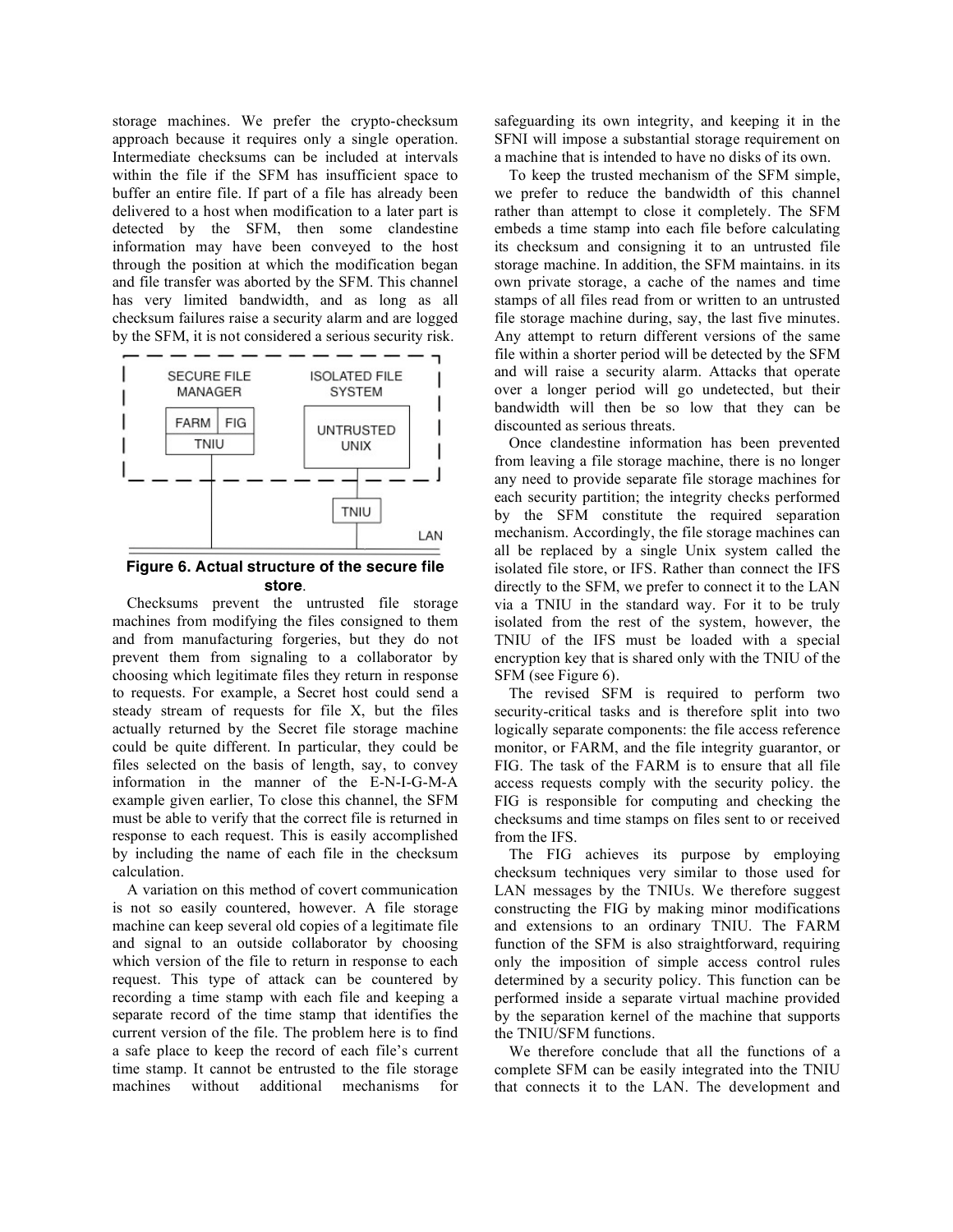storage machines. We prefer the crypto-checksum approach because it requires only a single operation. Intermediate checksums can be included at intervals within the file if the SFM has insufficient space to buffer an entire file. If part of a file has already been delivered to a host when modification to a later part is detected by the SFM, then some clandestine information may have been conveyed to the host through the position at which the modification began and file transfer was aborted by the SFM. This channel has very limited bandwidth, and as long as all checksum failures raise a security alarm and are logged by the SFM, it is not considered a serious security risk.



**Figure 6. Actual structure of the secure file store**.

Checksums prevent the untrusted file storage machines from modifying the files consigned to them and from manufacturing forgeries, but they do not prevent them from signaling to a collaborator by choosing which legitimate files they return in response to requests. For example, a Secret host could send a steady stream of requests for file X, but the files actually returned by the Secret file storage machine could be quite different. In particular, they could be files selected on the basis of length, say, to convey information in the manner of the E-N-I-G-M-A example given earlier, To close this channel, the SFM must be able to verify that the correct file is returned in response to each request. This is easily accomplished by including the name of each file in the checksum calculation.

A variation on this method of covert communication is not so easily countered, however. A file storage machine can keep several old copies of a legitimate file and signal to an outside collaborator by choosing which version of the file to return in response to each request. This type of attack can be countered by recording a time stamp with each file and keeping a separate record of the time stamp that identifies the current version of the file. The problem here is to find a safe place to keep the record of each file's current time stamp. It cannot be entrusted to the file storage machines without additional mechanisms for

safeguarding its own integrity, and keeping it in the SFNI will impose a substantial storage requirement on a machine that is intended to have no disks of its own.

To keep the trusted mechanism of the SFM simple, we prefer to reduce the bandwidth of this channel rather than attempt to close it completely. The SFM embeds a time stamp into each file before calculating its checksum and consigning it to an untrusted file storage machine. In addition, the SFM maintains. in its own private storage, a cache of the names and time stamps of all files read from or written to an untrusted file storage machine during, say, the last five minutes. Any attempt to return different versions of the same file within a shorter period will be detected by the SFM and will raise a security alarm. Attacks that operate over a longer period will go undetected, but their bandwidth will then be so low that they can be discounted as serious threats.

Once clandestine information has been prevented from leaving a file storage machine, there is no longer any need to provide separate file storage machines for each security partition; the integrity checks performed by the SFM constitute the required separation mechanism. Accordingly, the file storage machines can all be replaced by a single Unix system called the isolated file store, or IFS. Rather than connect the IFS directly to the SFM, we prefer to connect it to the LAN via a TNIU in the standard way. For it to be truly isolated from the rest of the system, however, the TNIU of the IFS must be loaded with a special encryption key that is shared only with the TNIU of the SFM (see Figure 6).

The revised SFM is required to perform two security-critical tasks and is therefore split into two logically separate components: the file access reference monitor, or FARM, and the file integrity guarantor, or FIG. The task of the FARM is to ensure that all file access requests comply with the security policy. the FIG is responsible for computing and checking the checksums and time stamps on files sent to or received from the IFS.

The FIG achieves its purpose by employing checksum techniques very similar to those used for LAN messages by the TNIUs. We therefore suggest constructing the FIG by making minor modifications and extensions to an ordinary TNIU. The FARM function of the SFM is also straightforward, requiring only the imposition of simple access control rules determined by a security policy. This function can be performed inside a separate virtual machine provided by the separation kernel of the machine that supports the TNIU/SFM functions.

We therefore conclude that all the functions of a complete SFM can be easily integrated into the TNIU that connects it to the LAN. The development and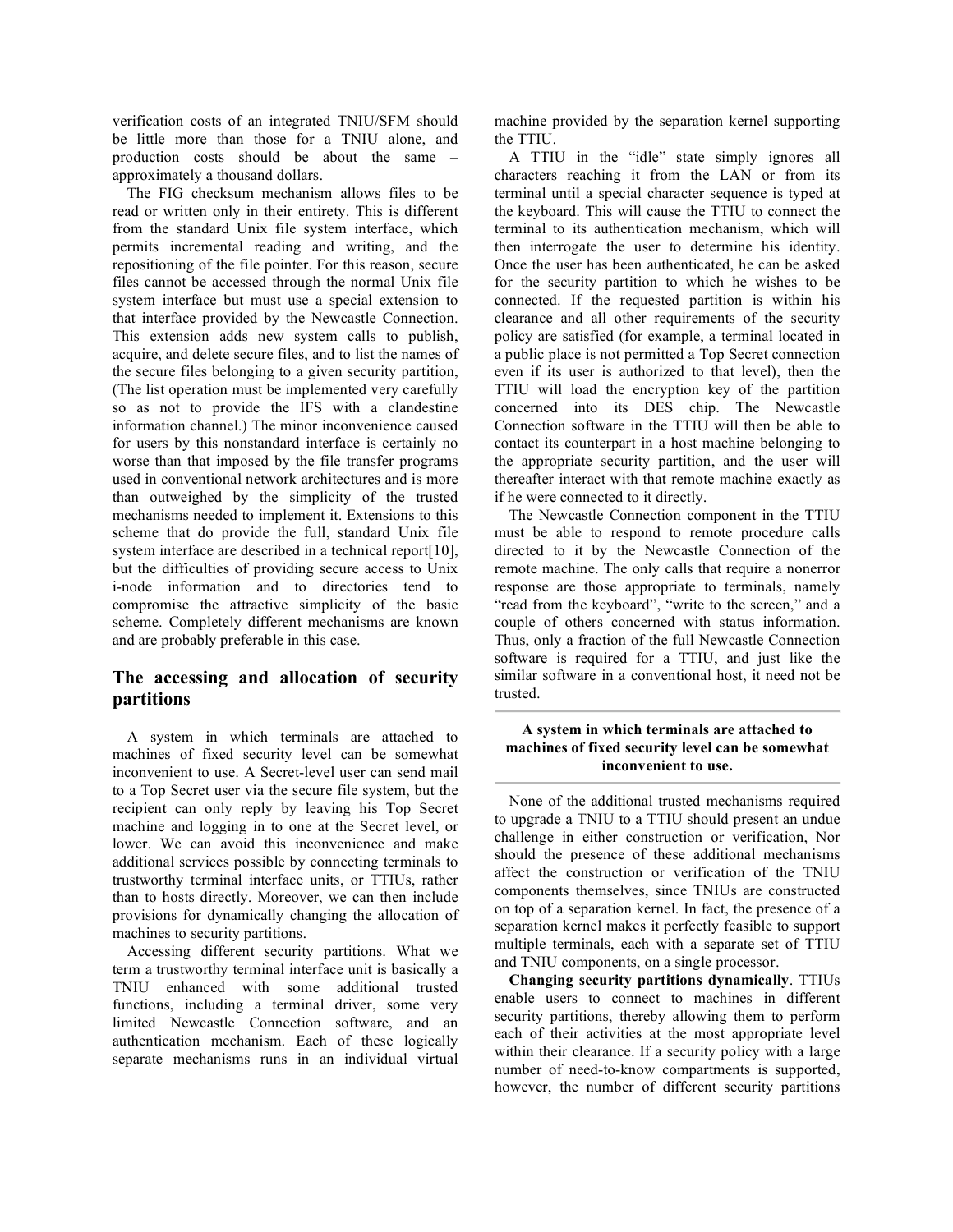verification costs of an integrated TNIU/SFM should be little more than those for a TNIU alone, and production costs should be about the same – approximately a thousand dollars.

The FIG checksum mechanism allows files to be read or written only in their entirety. This is different from the standard Unix file system interface, which permits incremental reading and writing, and the repositioning of the file pointer. For this reason, secure files cannot be accessed through the normal Unix file system interface but must use a special extension to that interface provided by the Newcastle Connection. This extension adds new system calls to publish, acquire, and delete secure files, and to list the names of the secure files belonging to a given security partition, (The list operation must be implemented very carefully so as not to provide the IFS with a clandestine information channel.) The minor inconvenience caused for users by this nonstandard interface is certainly no worse than that imposed by the file transfer programs used in conventional network architectures and is more than outweighed by the simplicity of the trusted mechanisms needed to implement it. Extensions to this scheme that do provide the full, standard Unix file system interface are described in a technical report[10], but the difficulties of providing secure access to Unix i-node information and to directories tend to compromise the attractive simplicity of the basic scheme. Completely different mechanisms are known and are probably preferable in this case.

# **The accessing and allocation of security partitions**

A system in which terminals are attached to machines of fixed security level can be somewhat inconvenient to use. A Secret-level user can send mail to a Top Secret user via the secure file system, but the recipient can only reply by leaving his Top Secret machine and logging in to one at the Secret level, or lower. We can avoid this inconvenience and make additional services possible by connecting terminals to trustworthy terminal interface units, or TTIUs, rather than to hosts directly. Moreover, we can then include provisions for dynamically changing the allocation of machines to security partitions.

Accessing different security partitions. What we term a trustworthy terminal interface unit is basically a TNIU enhanced with some additional trusted functions, including a terminal driver, some very limited Newcastle Connection software, and an authentication mechanism. Each of these logically separate mechanisms runs in an individual virtual machine provided by the separation kernel supporting the TTIU.

A TTIU in the "idle" state simply ignores all characters reaching it from the LAN or from its terminal until a special character sequence is typed at the keyboard. This will cause the TTIU to connect the terminal to its authentication mechanism, which will then interrogate the user to determine his identity. Once the user has been authenticated, he can be asked for the security partition to which he wishes to be connected. If the requested partition is within his clearance and all other requirements of the security policy are satisfied (for example, a terminal located in a public place is not permitted a Top Secret connection even if its user is authorized to that level), then the TTIU will load the encryption key of the partition concerned into its DES chip. The Newcastle Connection software in the TTIU will then be able to contact its counterpart in a host machine belonging to the appropriate security partition, and the user will thereafter interact with that remote machine exactly as if he were connected to it directly.

The Newcastle Connection component in the TTIU must be able to respond to remote procedure calls directed to it by the Newcastle Connection of the remote machine. The only calls that require a nonerror response are those appropriate to terminals, namely "read from the keyboard", "write to the screen," and a couple of others concerned with status information. Thus, only a fraction of the full Newcastle Connection software is required for a TTIU, and just like the similar software in a conventional host, it need not be trusted.

#### **A system in which terminals are attached to machines of fixed security level can be somewhat inconvenient to use.**

None of the additional trusted mechanisms required to upgrade a TNIU to a TTIU should present an undue challenge in either construction or verification, Nor should the presence of these additional mechanisms affect the construction or verification of the TNIU components themselves, since TNIUs are constructed on top of a separation kernel. In fact, the presence of a separation kernel makes it perfectly feasible to support multiple terminals, each with a separate set of TTIU and TNIU components, on a single processor.

**Changing security partitions dynamically**. TTIUs enable users to connect to machines in different security partitions, thereby allowing them to perform each of their activities at the most appropriate level within their clearance. If a security policy with a large number of need-to-know compartments is supported, however, the number of different security partitions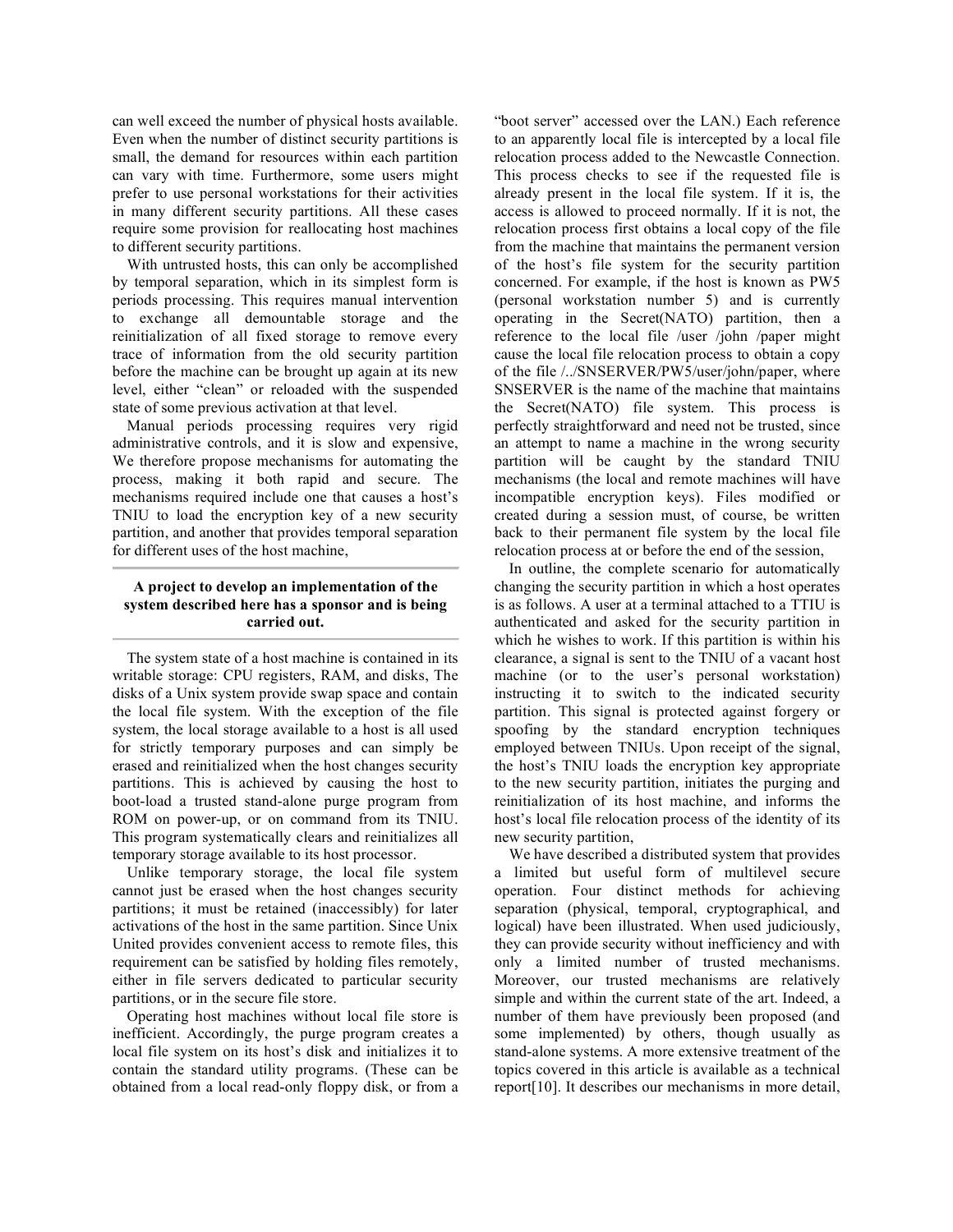can well exceed the number of physical hosts available. Even when the number of distinct security partitions is small, the demand for resources within each partition can vary with time. Furthermore, some users might prefer to use personal workstations for their activities in many different security partitions. All these cases require some provision for reallocating host machines to different security partitions.

With untrusted hosts, this can only be accomplished by temporal separation, which in its simplest form is periods processing. This requires manual intervention to exchange all demountable storage and the reinitialization of all fixed storage to remove every trace of information from the old security partition before the machine can be brought up again at its new level, either "clean" or reloaded with the suspended state of some previous activation at that level.

Manual periods processing requires very rigid administrative controls, and it is slow and expensive, We therefore propose mechanisms for automating the process, making it both rapid and secure. The mechanisms required include one that causes a host's TNIU to load the encryption key of a new security partition, and another that provides temporal separation for different uses of the host machine,

#### **A project to develop an implementation of the system described here has a sponsor and is being carried out.**

The system state of a host machine is contained in its writable storage: CPU registers, RAM, and disks, The disks of a Unix system provide swap space and contain the local file system. With the exception of the file system, the local storage available to a host is all used for strictly temporary purposes and can simply be erased and reinitialized when the host changes security partitions. This is achieved by causing the host to boot-load a trusted stand-alone purge program from ROM on power-up, or on command from its TNIU. This program systematically clears and reinitializes all temporary storage available to its host processor.

Unlike temporary storage, the local file system cannot just be erased when the host changes security partitions; it must be retained (inaccessibly) for later activations of the host in the same partition. Since Unix United provides convenient access to remote files, this requirement can be satisfied by holding files remotely, either in file servers dedicated to particular security partitions, or in the secure file store.

Operating host machines without local file store is inefficient. Accordingly, the purge program creates a local file system on its host's disk and initializes it to contain the standard utility programs. (These can be obtained from a local read-only floppy disk, or from a

"boot server" accessed over the LAN.) Each reference to an apparently local file is intercepted by a local file relocation process added to the Newcastle Connection. This process checks to see if the requested file is already present in the local file system. If it is, the access is allowed to proceed normally. If it is not, the relocation process first obtains a local copy of the file from the machine that maintains the permanent version of the host's file system for the security partition concerned. For example, if the host is known as PW5 (personal workstation number 5) and is currently operating in the Secret(NATO) partition, then a reference to the local file /user /john /paper might cause the local file relocation process to obtain a copy of the file /../SNSERVER/PW5/user/john/paper, where SNSERVER is the name of the machine that maintains the Secret(NATO) file system. This process is perfectly straightforward and need not be trusted, since an attempt to name a machine in the wrong security partition will be caught by the standard TNIU mechanisms (the local and remote machines will have incompatible encryption keys). Files modified or created during a session must, of course, be written back to their permanent file system by the local file relocation process at or before the end of the session,

In outline, the complete scenario for automatically changing the security partition in which a host operates is as follows. A user at a terminal attached to a TTIU is authenticated and asked for the security partition in which he wishes to work. If this partition is within his clearance, a signal is sent to the TNIU of a vacant host machine (or to the user's personal workstation) instructing it to switch to the indicated security partition. This signal is protected against forgery or spoofing by the standard encryption techniques employed between TNIUs. Upon receipt of the signal, the host's TNIU loads the encryption key appropriate to the new security partition, initiates the purging and reinitialization of its host machine, and informs the host's local file relocation process of the identity of its new security partition,

We have described a distributed system that provides a limited but useful form of multilevel secure operation. Four distinct methods for achieving separation (physical, temporal, cryptographical, and logical) have been illustrated. When used judiciously, they can provide security without inefficiency and with only a limited number of trusted mechanisms. Moreover, our trusted mechanisms are relatively simple and within the current state of the art. Indeed, a number of them have previously been proposed (and some implemented) by others, though usually as stand-alone systems. A more extensive treatment of the topics covered in this article is available as a technical report[10]. It describes our mechanisms in more detail,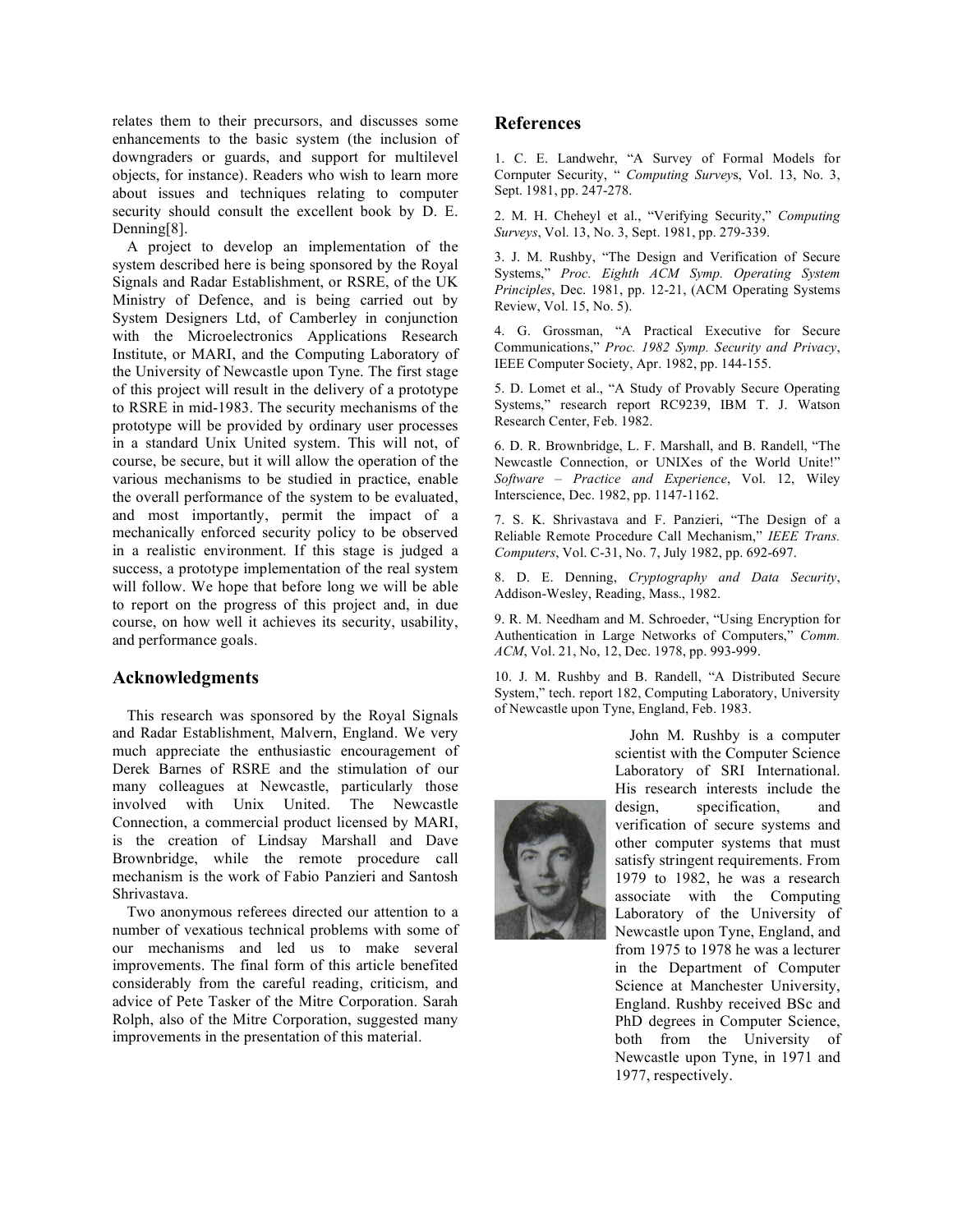relates them to their precursors, and discusses some enhancements to the basic system (the inclusion of downgraders or guards, and support for multilevel objects, for instance). Readers who wish to learn more about issues and techniques relating to computer security should consult the excellent book by D. E. Denning[8].

A project to develop an implementation of the system described here is being sponsored by the Royal Signals and Radar Establishment, or RSRE, of the UK Ministry of Defence, and is being carried out by System Designers Ltd, of Camberley in conjunction with the Microelectronics Applications Research Institute, or MARI, and the Computing Laboratory of the University of Newcastle upon Tyne. The first stage of this project will result in the delivery of a prototype to RSRE in mid-1983. The security mechanisms of the prototype will be provided by ordinary user processes in a standard Unix United system. This will not, of course, be secure, but it will allow the operation of the various mechanisms to be studied in practice, enable the overall performance of the system to be evaluated, and most importantly, permit the impact of a mechanically enforced security policy to be observed in a realistic environment. If this stage is judged a success, a prototype implementation of the real system will follow. We hope that before long we will be able to report on the progress of this project and, in due course, on how well it achieves its security, usability, and performance goals.

### **Acknowledgments**

This research was sponsored by the Royal Signals and Radar Establishment, Malvern, England. We very much appreciate the enthusiastic encouragement of Derek Barnes of RSRE and the stimulation of our many colleagues at Newcastle, particularly those involved with Unix United. The Newcastle Connection, a commercial product licensed by MARI, is the creation of Lindsay Marshall and Dave Brownbridge, while the remote procedure call mechanism is the work of Fabio Panzieri and Santosh Shrivastava.

Two anonymous referees directed our attention to a number of vexatious technical problems with some of our mechanisms and led us to make several improvements. The final form of this article benefited considerably from the careful reading, criticism, and advice of Pete Tasker of the Mitre Corporation. Sarah Rolph, also of the Mitre Corporation, suggested many improvements in the presentation of this material.

### **References**

1. C. E. Landwehr, "A Survey of Formal Models for Cornputer Security, " *Computing Survey*s, Vol. 13, No. 3, Sept. 1981, pp. 247-278.

2. M. H. Cheheyl et al., "Verifying Security," *Computing Surveys*, Vol. 13, No. 3, Sept. 1981, pp. 279-339.

3. J. M. Rushby, "The Design and Verification of Secure Systems," *Proc. Eighth ACM Symp. Operating System Principles*, Dec. 1981, pp. 12-21, (ACM Operating Systems Review, Vol. 15, No. 5).

4. G. Grossman, "A Practical Executive for Secure Communications," *Proc. 1982 Symp. Security and Privacy*, IEEE Computer Society, Apr. 1982, pp. 144-155.

5. D. Lomet et al., "A Study of Provably Secure Operating Systems," research report RC9239, IBM T. J. Watson Research Center, Feb. 1982.

6. D. R. Brownbridge, L. F. Marshall, and B. Randell, "The Newcastle Connection, or UNIXes of the World Unite!" *Software – Practice and Experience*, Vol. 12, Wiley Interscience, Dec. 1982, pp. 1147-1162.

7. S. K. Shrivastava and F. Panzieri, "The Design of a Reliable Remote Procedure Call Mechanism," *IEEE Trans. Computers*, Vol. C-31, No. 7, July 1982, pp. 692-697.

8. D. E. Denning, *Cryptography and Data Security*, Addison-Wesley, Reading, Mass., 1982.

9. R. M. Needham and M. Schroeder, "Using Encryption for Authentication in Large Networks of Computers," *Comm. ACM*, Vol. 21, No, 12, Dec. 1978, pp. 993-999.

10. J. M. Rushby and B. Randell, "A Distributed Secure System," tech. report 182, Computing Laboratory, University of Newcastle upon Tyne, England, Feb. 1983.



John M. Rushby is a computer scientist with the Computer Science Laboratory of SRI International. His research interests include the design, specification, and verification of secure systems and other computer systems that must satisfy stringent requirements. From 1979 to 1982, he was a research associate with the Computing Laboratory of the University of Newcastle upon Tyne, England, and from 1975 to 1978 he was a lecturer in the Department of Computer Science at Manchester University, England. Rushby received BSc and PhD degrees in Computer Science, both from the University of Newcastle upon Tyne, in 1971 and 1977, respectively.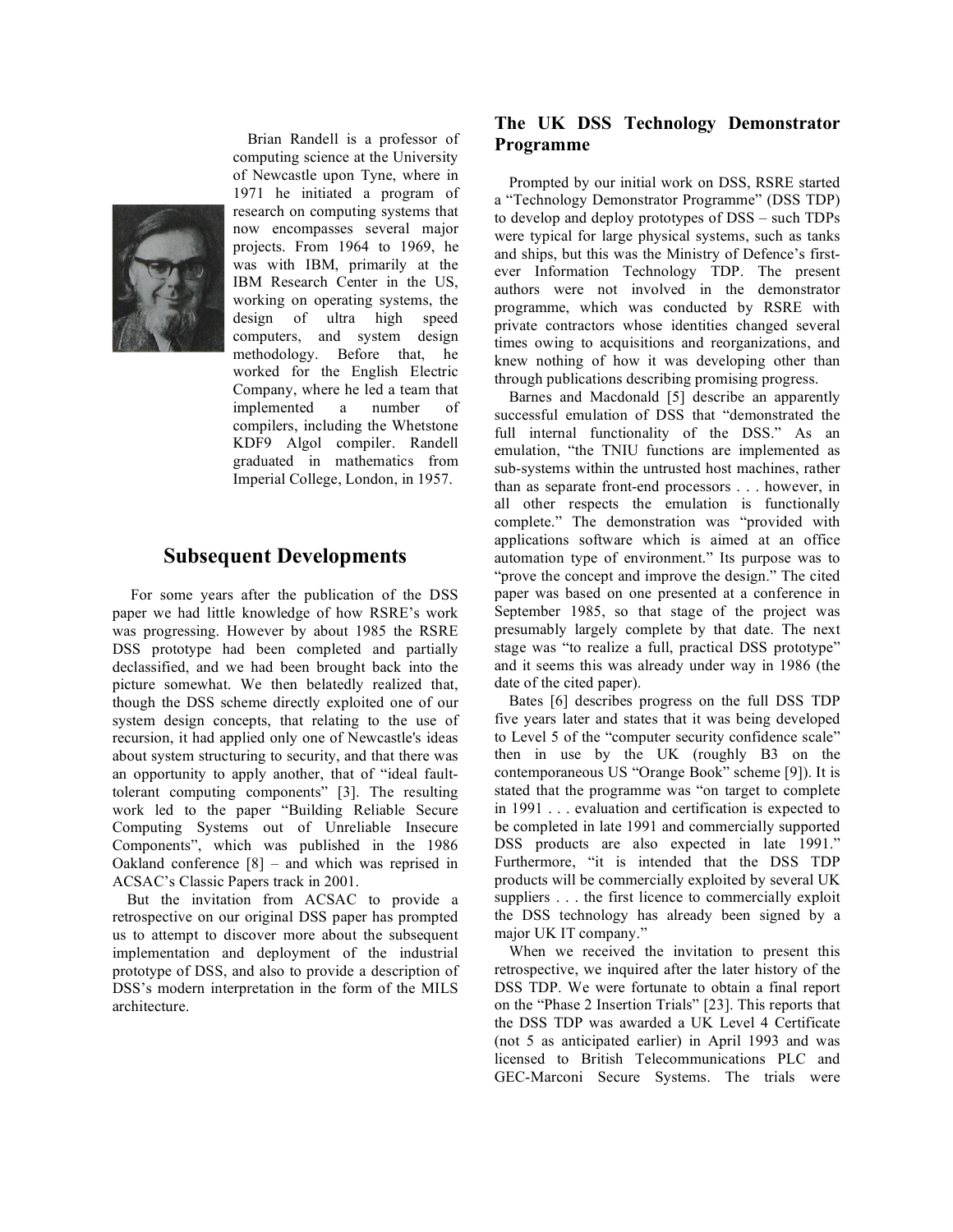

Brian Randell is a professor of computing science at the University of Newcastle upon Tyne, where in 1971 he initiated a program of research on computing systems that now encompasses several major projects. From 1964 to 1969, he was with IBM, primarily at the IBM Research Center in the US, working on operating systems, the design of ultra high speed computers, and system design methodology. Before that, he worked for the English Electric Company, where he led a team that implemented a number of compilers, including the Whetstone KDF9 Algol compiler. Randell graduated in mathematics from Imperial College, London, in 1957.

# **Subsequent Developments**

For some years after the publication of the DSS paper we had little knowledge of how RSRE's work was progressing. However by about 1985 the RSRE DSS prototype had been completed and partially declassified, and we had been brought back into the picture somewhat. We then belatedly realized that, though the DSS scheme directly exploited one of our system design concepts, that relating to the use of recursion, it had applied only one of Newcastle's ideas about system structuring to security, and that there was an opportunity to apply another, that of "ideal faulttolerant computing components" [3]. The resulting work led to the paper "Building Reliable Secure Computing Systems out of Unreliable Insecure Components", which was published in the 1986 Oakland conference [8] – and which was reprised in ACSAC's Classic Papers track in 2001.

But the invitation from ACSAC to provide a retrospective on our original DSS paper has prompted us to attempt to discover more about the subsequent implementation and deployment of the industrial prototype of DSS, and also to provide a description of DSS's modern interpretation in the form of the MILS architecture.

# **The UK DSS Technology Demonstrator Programme**

Prompted by our initial work on DSS, RSRE started a "Technology Demonstrator Programme" (DSS TDP) to develop and deploy prototypes of DSS – such TDPs were typical for large physical systems, such as tanks and ships, but this was the Ministry of Defence's firstever Information Technology TDP. The present authors were not involved in the demonstrator programme, which was conducted by RSRE with private contractors whose identities changed several times owing to acquisitions and reorganizations, and knew nothing of how it was developing other than through publications describing promising progress.

Barnes and Macdonald [5] describe an apparently successful emulation of DSS that "demonstrated the full internal functionality of the DSS." As an emulation, "the TNIU functions are implemented as sub-systems within the untrusted host machines, rather than as separate front-end processors . . . however, in all other respects the emulation is functionally complete." The demonstration was "provided with applications software which is aimed at an office automation type of environment." Its purpose was to "prove the concept and improve the design." The cited paper was based on one presented at a conference in September 1985, so that stage of the project was presumably largely complete by that date. The next stage was "to realize a full, practical DSS prototype" and it seems this was already under way in 1986 (the date of the cited paper).

Bates [6] describes progress on the full DSS TDP five years later and states that it was being developed to Level 5 of the "computer security confidence scale" then in use by the UK (roughly B3 on the contemporaneous US "Orange Book" scheme [9]). It is stated that the programme was "on target to complete in 1991 . . . evaluation and certification is expected to be completed in late 1991 and commercially supported DSS products are also expected in late 1991." Furthermore, "it is intended that the DSS TDP products will be commercially exploited by several UK suppliers . . . the first licence to commercially exploit the DSS technology has already been signed by a major UK IT company."

When we received the invitation to present this retrospective, we inquired after the later history of the DSS TDP. We were fortunate to obtain a final report on the "Phase 2 Insertion Trials" [23]. This reports that the DSS TDP was awarded a UK Level 4 Certificate (not 5 as anticipated earlier) in April 1993 and was licensed to British Telecommunications PLC and GEC-Marconi Secure Systems. The trials were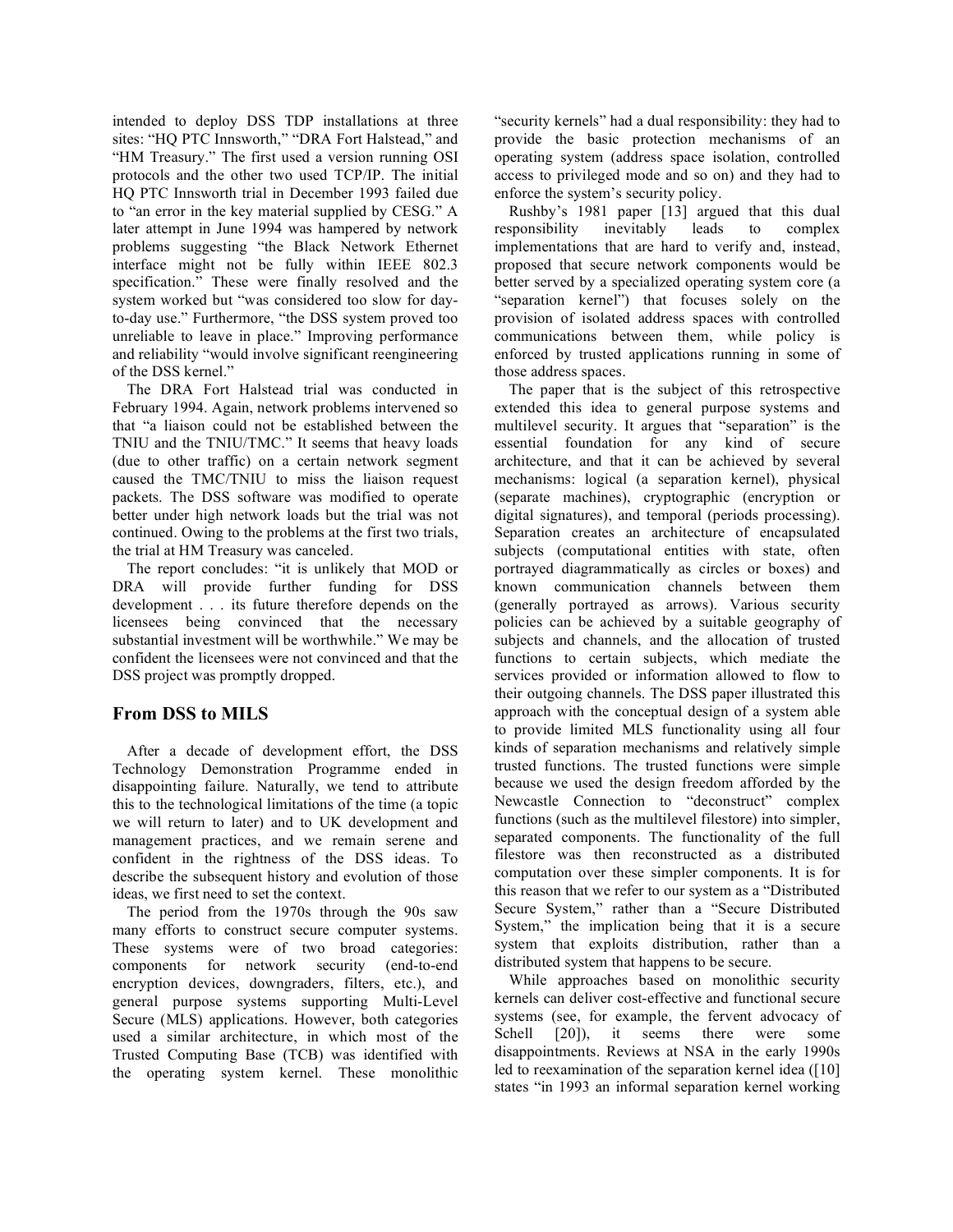intended to deploy DSS TDP installations at three sites: "HQ PTC Innsworth," "DRA Fort Halstead," and "HM Treasury." The first used a version running OSI protocols and the other two used TCP/IP. The initial HQ PTC Innsworth trial in December 1993 failed due to "an error in the key material supplied by CESG." A later attempt in June 1994 was hampered by network problems suggesting "the Black Network Ethernet interface might not be fully within IEEE 802.3 specification." These were finally resolved and the system worked but "was considered too slow for dayto-day use." Furthermore, "the DSS system proved too unreliable to leave in place." Improving performance and reliability "would involve significant reengineering of the DSS kernel."

The DRA Fort Halstead trial was conducted in February 1994. Again, network problems intervened so that "a liaison could not be established between the TNIU and the TNIU/TMC." It seems that heavy loads (due to other traffic) on a certain network segment caused the TMC/TNIU to miss the liaison request packets. The DSS software was modified to operate better under high network loads but the trial was not continued. Owing to the problems at the first two trials, the trial at HM Treasury was canceled.

The report concludes: "it is unlikely that MOD or DRA will provide further funding for DSS development . . . its future therefore depends on the licensees being convinced that the necessary substantial investment will be worthwhile." We may be confident the licensees were not convinced and that the DSS project was promptly dropped.

# **From DSS to MILS**

After a decade of development effort, the DSS Technology Demonstration Programme ended in disappointing failure. Naturally, we tend to attribute this to the technological limitations of the time (a topic we will return to later) and to UK development and management practices, and we remain serene and confident in the rightness of the DSS ideas. To describe the subsequent history and evolution of those ideas, we first need to set the context.

The period from the 1970s through the 90s saw many efforts to construct secure computer systems. These systems were of two broad categories: components for network security (end-to-end encryption devices, downgraders, filters, etc.), and general purpose systems supporting Multi-Level Secure (MLS) applications. However, both categories used a similar architecture, in which most of the Trusted Computing Base (TCB) was identified with the operating system kernel. These monolithic

"security kernels" had a dual responsibility: they had to provide the basic protection mechanisms of an operating system (address space isolation, controlled access to privileged mode and so on) and they had to enforce the system's security policy.

Rushby's 1981 paper [13] argued that this dual responsibility inevitably leads to complex implementations that are hard to verify and, instead, proposed that secure network components would be better served by a specialized operating system core (a "separation kernel") that focuses solely on the provision of isolated address spaces with controlled communications between them, while policy is enforced by trusted applications running in some of those address spaces.

The paper that is the subject of this retrospective extended this idea to general purpose systems and multilevel security. It argues that "separation" is the essential foundation for any kind of secure architecture, and that it can be achieved by several mechanisms: logical (a separation kernel), physical (separate machines), cryptographic (encryption or digital signatures), and temporal (periods processing). Separation creates an architecture of encapsulated subjects (computational entities with state, often portrayed diagrammatically as circles or boxes) and known communication channels between them (generally portrayed as arrows). Various security policies can be achieved by a suitable geography of subjects and channels, and the allocation of trusted functions to certain subjects, which mediate the services provided or information allowed to flow to their outgoing channels. The DSS paper illustrated this approach with the conceptual design of a system able to provide limited MLS functionality using all four kinds of separation mechanisms and relatively simple trusted functions. The trusted functions were simple because we used the design freedom afforded by the Newcastle Connection to "deconstruct" complex functions (such as the multilevel filestore) into simpler, separated components. The functionality of the full filestore was then reconstructed as a distributed computation over these simpler components. It is for this reason that we refer to our system as a "Distributed Secure System," rather than a "Secure Distributed System," the implication being that it is a secure system that exploits distribution, rather than a distributed system that happens to be secure.

While approaches based on monolithic security kernels can deliver cost-effective and functional secure systems (see, for example, the fervent advocacy of Schell [20]), it seems there were some disappointments. Reviews at NSA in the early 1990s led to reexamination of the separation kernel idea ([10] states "in 1993 an informal separation kernel working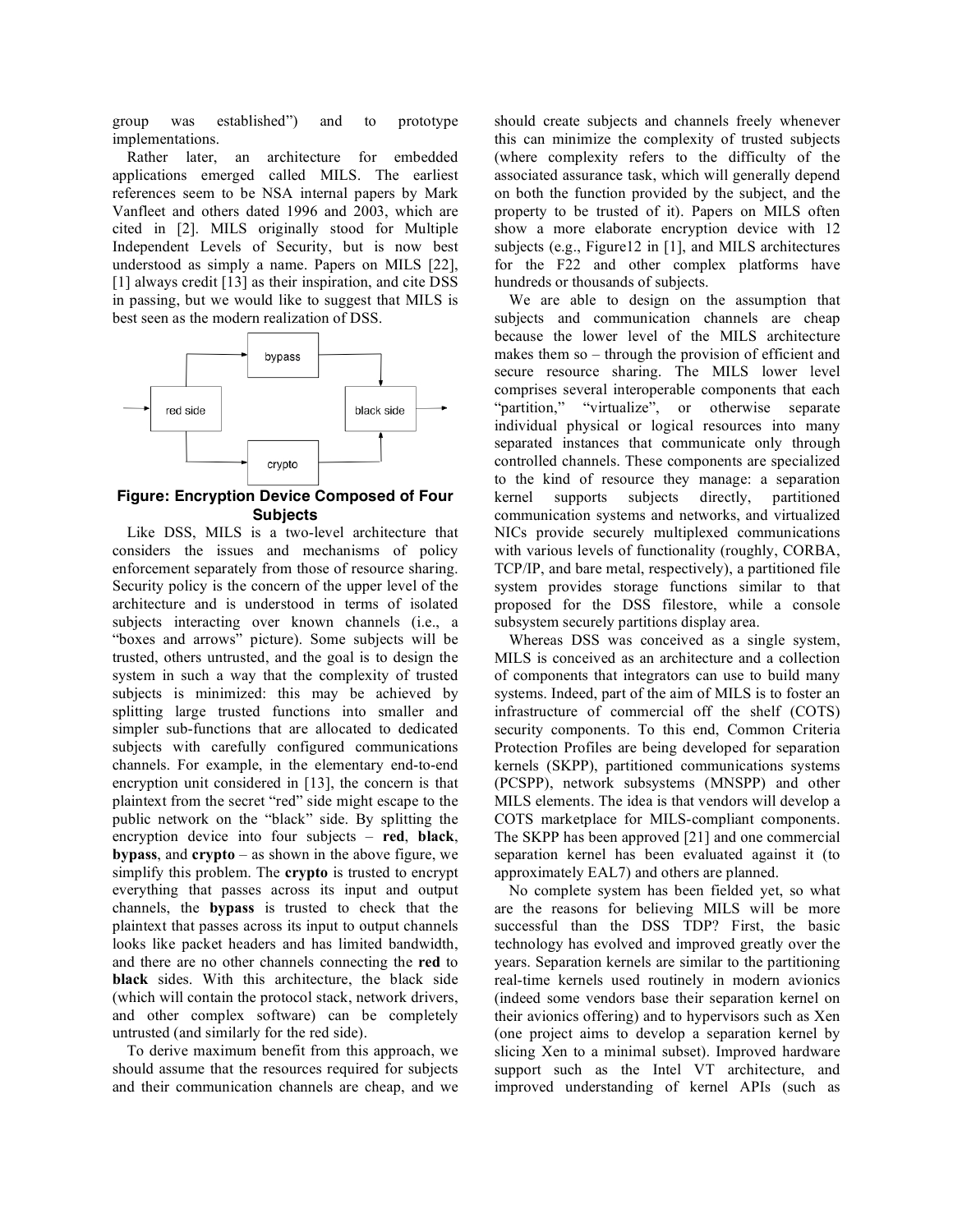group was established") and to prototype implementations.

Rather later, an architecture for embedded applications emerged called MILS. The earliest references seem to be NSA internal papers by Mark Vanfleet and others dated 1996 and 2003, which are cited in [2]. MILS originally stood for Multiple Independent Levels of Security, but is now best understood as simply a name. Papers on MILS [22], [1] always credit [13] as their inspiration, and cite DSS in passing, but we would like to suggest that MILS is best seen as the modern realization of DSS.



**Figure: Encryption Device Composed of Four Subjects**

Like DSS, MILS is a two-level architecture that considers the issues and mechanisms of policy enforcement separately from those of resource sharing. Security policy is the concern of the upper level of the architecture and is understood in terms of isolated subjects interacting over known channels (i.e., a "boxes and arrows" picture). Some subjects will be trusted, others untrusted, and the goal is to design the system in such a way that the complexity of trusted subjects is minimized: this may be achieved by splitting large trusted functions into smaller and simpler sub-functions that are allocated to dedicated subjects with carefully configured communications channels. For example, in the elementary end-to-end encryption unit considered in [13], the concern is that plaintext from the secret "red" side might escape to the public network on the "black" side. By splitting the encryption device into four subjects – **red**, **black**, **bypass**, and **crypto** – as shown in the above figure, we simplify this problem. The **crypto** is trusted to encrypt everything that passes across its input and output channels, the **bypass** is trusted to check that the plaintext that passes across its input to output channels looks like packet headers and has limited bandwidth, and there are no other channels connecting the **red** to **black** sides. With this architecture, the black side (which will contain the protocol stack, network drivers, and other complex software) can be completely untrusted (and similarly for the red side).

To derive maximum benefit from this approach, we should assume that the resources required for subjects and their communication channels are cheap, and we should create subjects and channels freely whenever this can minimize the complexity of trusted subjects (where complexity refers to the difficulty of the associated assurance task, which will generally depend on both the function provided by the subject, and the property to be trusted of it). Papers on MILS often show a more elaborate encryption device with 12 subjects (e.g., Figure12 in [1], and MILS architectures for the F22 and other complex platforms have hundreds or thousands of subjects.

We are able to design on the assumption that subjects and communication channels are cheap because the lower level of the MILS architecture makes them so – through the provision of efficient and secure resource sharing. The MILS lower level comprises several interoperable components that each "partition," "virtualize", or otherwise separate individual physical or logical resources into many separated instances that communicate only through controlled channels. These components are specialized to the kind of resource they manage: a separation kernel supports subjects directly, partitioned communication systems and networks, and virtualized NICs provide securely multiplexed communications with various levels of functionality (roughly, CORBA, TCP/IP, and bare metal, respectively), a partitioned file system provides storage functions similar to that proposed for the DSS filestore, while a console subsystem securely partitions display area.

Whereas DSS was conceived as a single system, MILS is conceived as an architecture and a collection of components that integrators can use to build many systems. Indeed, part of the aim of MILS is to foster an infrastructure of commercial off the shelf (COTS) security components. To this end, Common Criteria Protection Profiles are being developed for separation kernels (SKPP), partitioned communications systems (PCSPP), network subsystems (MNSPP) and other MILS elements. The idea is that vendors will develop a COTS marketplace for MILS-compliant components. The SKPP has been approved [21] and one commercial separation kernel has been evaluated against it (to approximately EAL7) and others are planned.

No complete system has been fielded yet, so what are the reasons for believing MILS will be more successful than the DSS TDP? First, the basic technology has evolved and improved greatly over the years. Separation kernels are similar to the partitioning real-time kernels used routinely in modern avionics (indeed some vendors base their separation kernel on their avionics offering) and to hypervisors such as Xen (one project aims to develop a separation kernel by slicing Xen to a minimal subset). Improved hardware support such as the Intel VT architecture, and improved understanding of kernel APIs (such as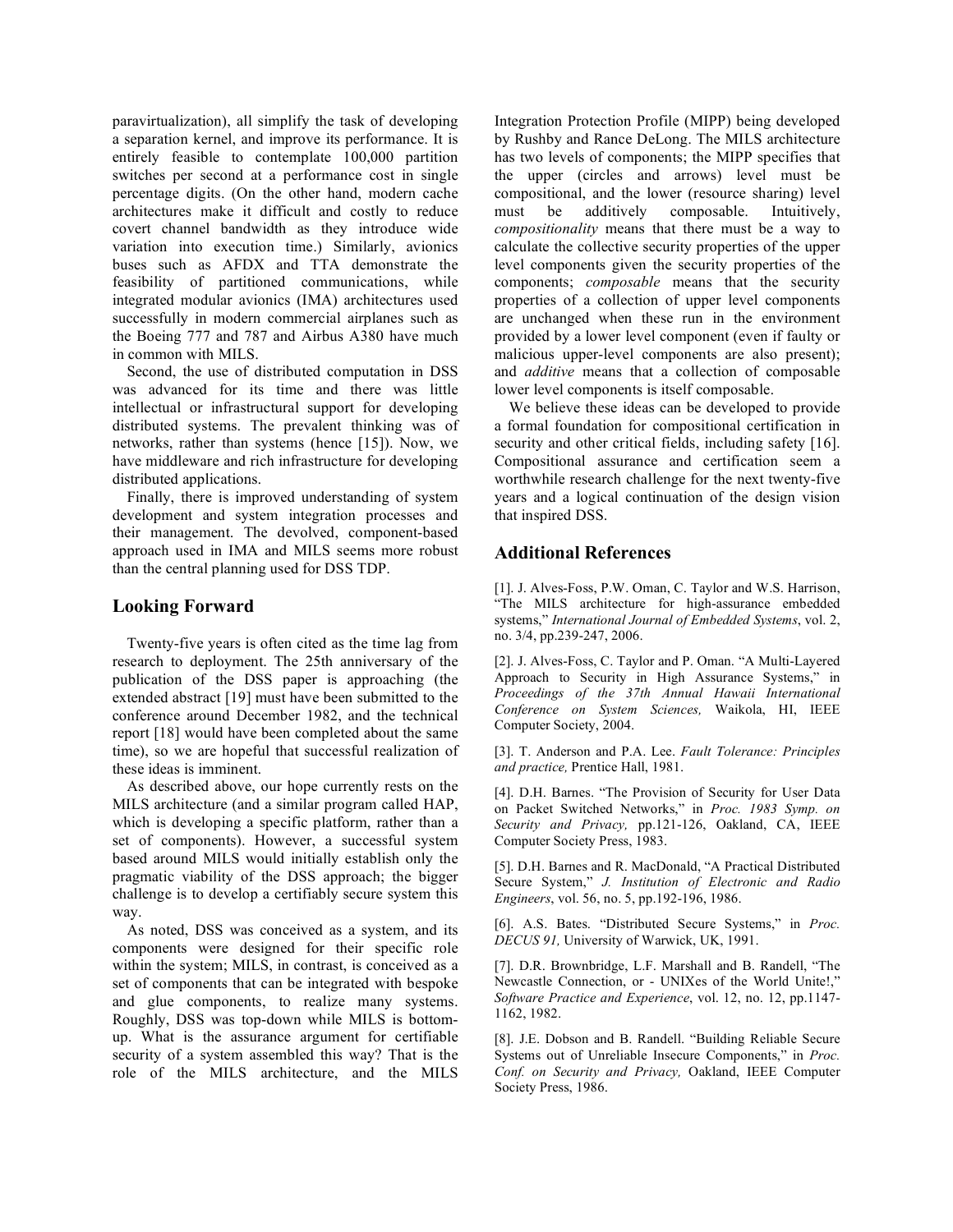paravirtualization), all simplify the task of developing a separation kernel, and improve its performance. It is entirely feasible to contemplate 100,000 partition switches per second at a performance cost in single percentage digits. (On the other hand, modern cache architectures make it difficult and costly to reduce covert channel bandwidth as they introduce wide variation into execution time.) Similarly, avionics buses such as AFDX and TTA demonstrate the feasibility of partitioned communications, while integrated modular avionics (IMA) architectures used successfully in modern commercial airplanes such as the Boeing 777 and 787 and Airbus A380 have much in common with MILS.

Second, the use of distributed computation in DSS was advanced for its time and there was little intellectual or infrastructural support for developing distributed systems. The prevalent thinking was of networks, rather than systems (hence [15]). Now, we have middleware and rich infrastructure for developing distributed applications.

Finally, there is improved understanding of system development and system integration processes and their management. The devolved, component-based approach used in IMA and MILS seems more robust than the central planning used for DSS TDP.

### **Looking Forward**

Twenty-five years is often cited as the time lag from research to deployment. The 25th anniversary of the publication of the DSS paper is approaching (the extended abstract [19] must have been submitted to the conference around December 1982, and the technical report [18] would have been completed about the same time), so we are hopeful that successful realization of these ideas is imminent.

As described above, our hope currently rests on the MILS architecture (and a similar program called HAP, which is developing a specific platform, rather than a set of components). However, a successful system based around MILS would initially establish only the pragmatic viability of the DSS approach; the bigger challenge is to develop a certifiably secure system this way.

As noted, DSS was conceived as a system, and its components were designed for their specific role within the system; MILS, in contrast, is conceived as a set of components that can be integrated with bespoke and glue components, to realize many systems. Roughly, DSS was top-down while MILS is bottomup. What is the assurance argument for certifiable security of a system assembled this way? That is the role of the MILS architecture, and the MILS

Integration Protection Profile (MIPP) being developed by Rushby and Rance DeLong. The MILS architecture has two levels of components; the MIPP specifies that the upper (circles and arrows) level must be compositional, and the lower (resource sharing) level must be additively composable. Intuitively, *compositionality* means that there must be a way to calculate the collective security properties of the upper level components given the security properties of the components; *composable* means that the security properties of a collection of upper level components are unchanged when these run in the environment provided by a lower level component (even if faulty or malicious upper-level components are also present); and *additive* means that a collection of composable lower level components is itself composable.

We believe these ideas can be developed to provide a formal foundation for compositional certification in security and other critical fields, including safety [16]. Compositional assurance and certification seem a worthwhile research challenge for the next twenty-five years and a logical continuation of the design vision that inspired DSS.

# **Additional References**

[1]. J. Alves-Foss, P.W. Oman, C. Taylor and W.S. Harrison, "The MILS architecture for high-assurance embedded systems," *International Journal of Embedded Systems*, vol. 2, no. 3/4, pp.239-247, 2006.

[2]. J. Alves-Foss, C. Taylor and P. Oman. "A Multi-Layered Approach to Security in High Assurance Systems," in *Proceedings of the 37th Annual Hawaii International Conference on System Sciences,* Waikola, HI, IEEE Computer Society, 2004.

[3]. T. Anderson and P.A. Lee. *Fault Tolerance: Principles and practice,* Prentice Hall, 1981.

[4]. D.H. Barnes. "The Provision of Security for User Data on Packet Switched Networks," in *Proc. 1983 Symp. on Security and Privacy,* pp.121-126, Oakland, CA, IEEE Computer Society Press, 1983.

[5]. D.H. Barnes and R. MacDonald, "A Practical Distributed Secure System," *J. Institution of Electronic and Radio Engineers*, vol. 56, no. 5, pp.192-196, 1986.

[6]. A.S. Bates. "Distributed Secure Systems," in *Proc. DECUS 91,* University of Warwick, UK, 1991.

[7]. D.R. Brownbridge, L.F. Marshall and B. Randell, "The Newcastle Connection, or - UNIXes of the World Unite!," *Software Practice and Experience*, vol. 12, no. 12, pp.1147- 1162, 1982.

[8]. J.E. Dobson and B. Randell. "Building Reliable Secure Systems out of Unreliable Insecure Components," in *Proc. Conf. on Security and Privacy,* Oakland, IEEE Computer Society Press, 1986.